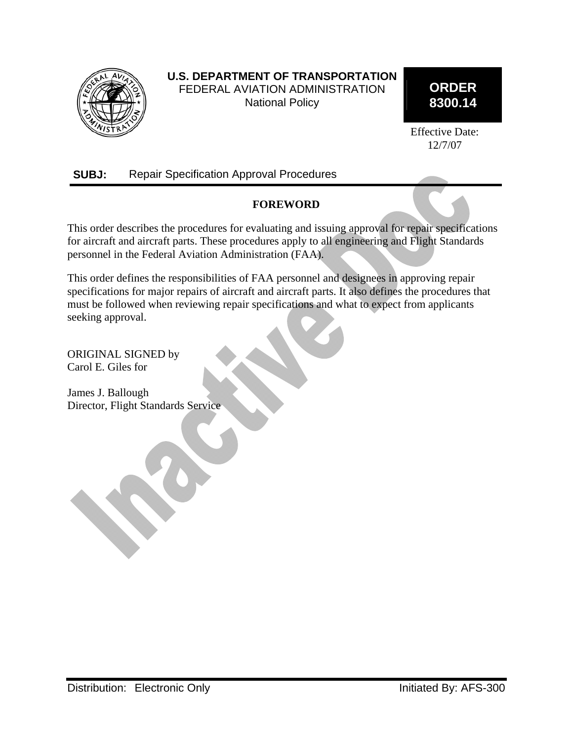

# **U.S. DEPARTMENT OF TRANSPORTATION**  FEDERAL AVIATION ADMINISTRATION National Policy

# **ORDER 8300.14**

Effective Date: 12/7/07

# **SUBJ:** Repair Specification Approval Procedures

# **FOREWORD**

This order describes the procedures for evaluating and issuing approval for repair specifications for aircraft and aircraft parts. These procedures apply to all engineering and Flight Standards personnel in the Federal Aviation Administration (FAA).

This order defines the responsibilities of FAA personnel and designees in approving repair specifications for major repairs of aircraft and aircraft parts. It also defines the procedures that must be followed when reviewing repair specifications and what to expect from applicants seeking approval.

ORIGINAL SIGNED by Carol E. Giles for

James J. Ballough Director, Flight Standards Service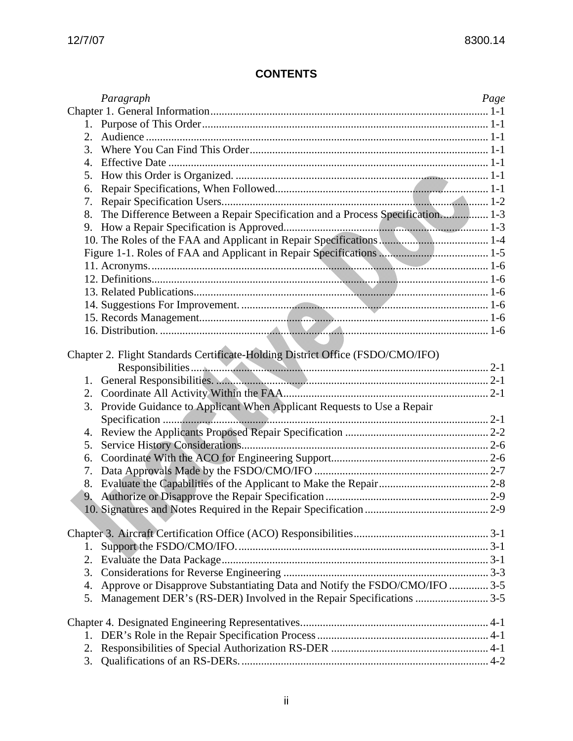# **CONTENTS**

|    | Paragraph                                                                      | Page |
|----|--------------------------------------------------------------------------------|------|
|    |                                                                                |      |
|    |                                                                                |      |
| 2. |                                                                                |      |
| 3. |                                                                                |      |
| 4. |                                                                                |      |
| 5. |                                                                                |      |
| 6. |                                                                                |      |
| 7. |                                                                                |      |
| 8. | The Difference Between a Repair Specification and a Process Specification 1-3  |      |
| 9. |                                                                                |      |
|    |                                                                                |      |
|    |                                                                                |      |
|    |                                                                                |      |
|    |                                                                                |      |
|    |                                                                                |      |
|    |                                                                                |      |
|    |                                                                                |      |
|    |                                                                                |      |
|    |                                                                                |      |
|    | Chapter 2. Flight Standards Certificate-Holding District Office (FSDO/CMO/IFO) |      |
|    |                                                                                |      |
| 1. | General Responsibilities. Manual Manual Manual Manual Manual Manual Manual 2-1 |      |
| 2. |                                                                                |      |
| 3. | Provide Guidance to Applicant When Applicant Requests to Use a Repair          |      |
|    |                                                                                |      |
| 4. |                                                                                |      |
| 5. |                                                                                |      |
| 6. |                                                                                |      |
| 7. |                                                                                |      |
| 8. |                                                                                |      |
| 9. |                                                                                |      |
|    |                                                                                |      |
|    |                                                                                |      |
|    |                                                                                |      |
| 1. |                                                                                |      |
| 2. |                                                                                |      |
| 3. |                                                                                |      |
| 4. | Approve or Disapprove Substantiating Data and Notify the FSDO/CMO/IFO  3-5     |      |
| 5. |                                                                                |      |
|    |                                                                                |      |
|    |                                                                                |      |
| 1. |                                                                                |      |
| 2. |                                                                                |      |
| 3. |                                                                                |      |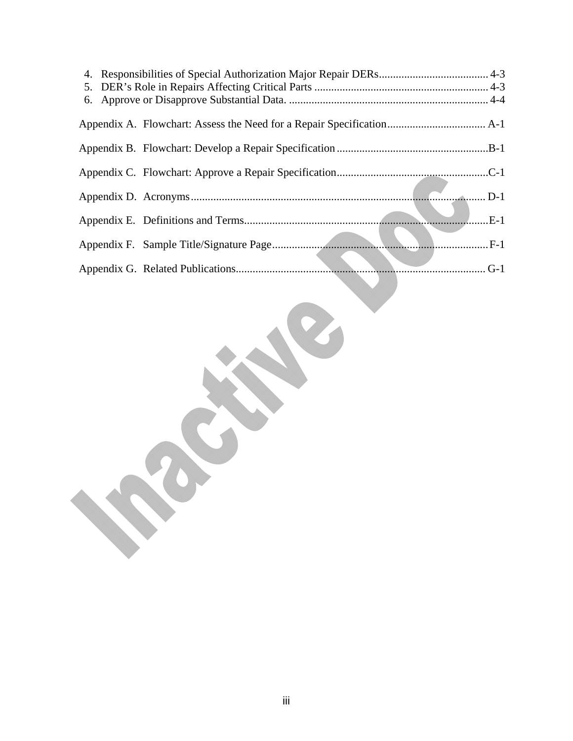RECEPT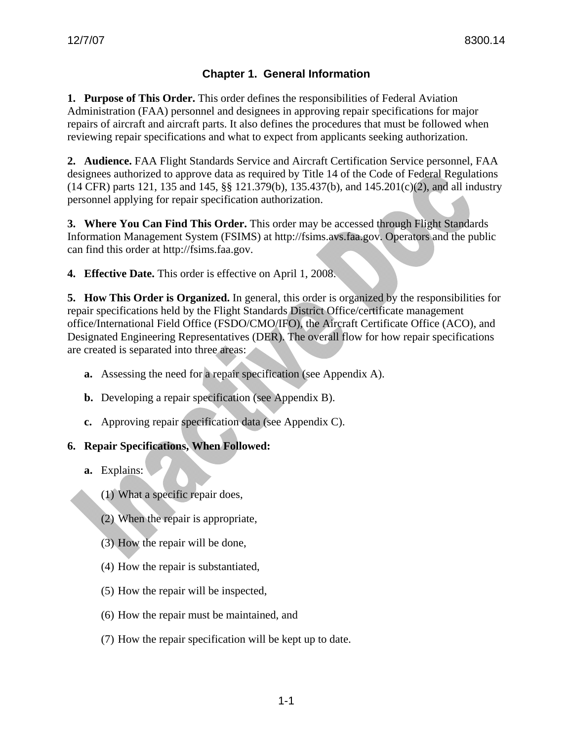# **Chapter 1. General Information**

**1. Purpose of This Order.** This order defines the responsibilities of Federal Aviation Administration (FAA) personnel and designees in approving repair specifications for major repairs of aircraft and aircraft parts. It also defines the procedures that must be followed when reviewing repair specifications and what to expect from applicants seeking authorization.

**2. Audience.** FAA Flight Standards Service and Aircraft Certification Service personnel, FAA designees authorized to approve data as required by Title 14 of the Code of Federal Regulations (14 CFR) parts 121, 135 and 145, §§ 121.379(b), 135.437(b), and 145.201(c)(2), and all industry personnel applying for repair specification authorization.

**3. Where You Can Find This Order.** This order may be accessed through Flight Standards Information Management System (FSIMS) at http://fsims.avs.faa.gov. Operators and the public can find this order at http://fsims.faa.gov.

**4. Effective Date.** This order is effective on April 1, 2008.

**5. How This Order is Organized.** In general, this order is organized by the responsibilities for repair specifications held by the Flight Standards District Office/certificate management office/International Field Office (FSDO/CMO/IFO), the Aircraft Certificate Office (ACO), and Designated Engineering Representatives (DER). The overall flow for how repair specifications are created is separated into three areas:

- **a.** Assessing the need for a repair specification (see Appendix A).
- **b.** Developing a repair specification (see Appendix B).
- **c.** Approving repair specification data (see Appendix C).

### **6. Repair Specifications, When Followed:**

- **a.** Explains:
	- (1) What a specific repair does,
	- (2) When the repair is appropriate,
	- (3) How the repair will be done,
	- (4) How the repair is substantiated,
	- (5) How the repair will be inspected,
	- (6) How the repair must be maintained, and
	- (7) How the repair specification will be kept up to date.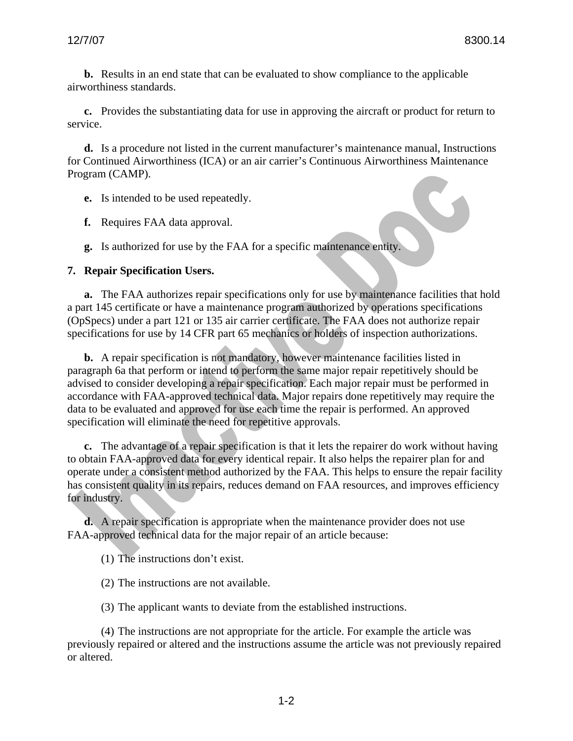**b.** Results in an end state that can be evaluated to show compliance to the applicable airworthiness standards.

**c.** Provides the substantiating data for use in approving the aircraft or product for return to service.

**d.** Is a procedure not listed in the current manufacturer's maintenance manual, Instructions for Continued Airworthiness (ICA) or an air carrier's Continuous Airworthiness Maintenance Program (CAMP).

- **e.** Is intended to be used repeatedly.
- **f.** Requires FAA data approval.

**g.** Is authorized for use by the FAA for a specific maintenance entity.

#### **7. Repair Specification Users.**

**a.** The FAA authorizes repair specifications only for use by maintenance facilities that hold a part 145 certificate or have a maintenance program authorized by operations specifications (OpSpecs) under a part 121 or 135 air carrier certificate. The FAA does not authorize repair specifications for use by 14 CFR part 65 mechanics or holders of inspection authorizations.

**b.** A repair specification is not mandatory, however maintenance facilities listed in paragraph 6a that perform or intend to perform the same major repair repetitively should be advised to consider developing a repair specification. Each major repair must be performed in accordance with FAA-approved technical data. Major repairs done repetitively may require the data to be evaluated and approved for use each time the repair is performed. An approved specification will eliminate the need for repetitive approvals.

**c.** The advantage of a repair specification is that it lets the repairer do work without having to obtain FAA-approved data for every identical repair. It also helps the repairer plan for and operate under a consistent method authorized by the FAA. This helps to ensure the repair facility has consistent quality in its repairs, reduces demand on FAA resources, and improves efficiency for industry.

**d.** A repair specification is appropriate when the maintenance provider does not use FAA-approved technical data for the major repair of an article because:

(1) The instructions don't exist.

- (2) The instructions are not available.
- (3) The applicant wants to deviate from the established instructions.

(4) The instructions are not appropriate for the article. For example the article was previously repaired or altered and the instructions assume the article was not previously repaired or altered.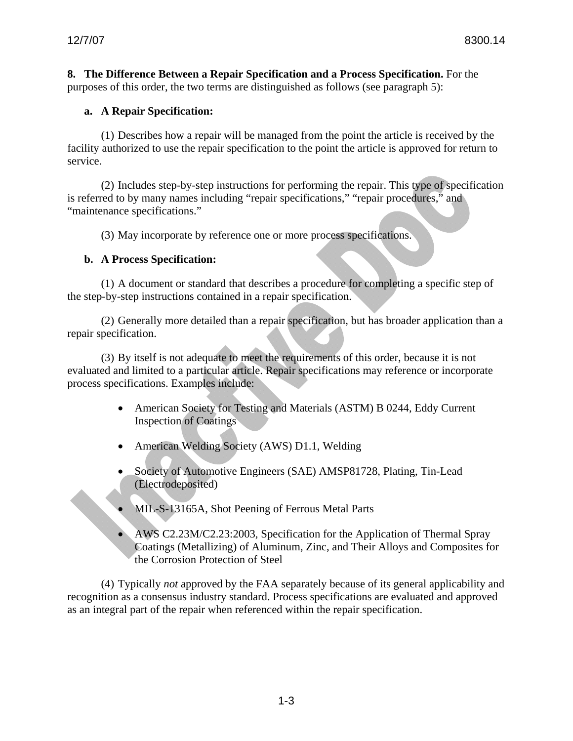**8. The Difference Between a Repair Specification and a Process Specification.** For the purposes of this order, the two terms are distinguished as follows (see paragraph 5):

## **a. A Repair Specification:**

(1) Describes how a repair will be managed from the point the article is received by the facility authorized to use the repair specification to the point the article is approved for return to service.

(2) Includes step-by-step instructions for performing the repair. This type of specification is referred to by many names including "repair specifications," "repair procedures," and "maintenance specifications."

(3) May incorporate by reference one or more process specifications.

## **b. A Process Specification:**

(1) A document or standard that describes a procedure for completing a specific step of the step-by-step instructions contained in a repair specification.

(2) Generally more detailed than a repair specification, but has broader application than a repair specification.

(3) By itself is not adequate to meet the requirements of this order, because it is not evaluated and limited to a particular article. Repair specifications may reference or incorporate process specifications. Examples include:

- American Society for Testing and Materials (ASTM) B 0244, Eddy Current Inspection of Coatings
- American Welding Society (AWS) D1.1, Welding
- Society of Automotive Engineers (SAE) AMSP81728, Plating, Tin-Lead (Electrodeposited)
- MIL-S-13165A, Shot Peening of Ferrous Metal Parts
- AWS C2.23M/C2.23:2003, Specification for the Application of Thermal Spray Coatings (Metallizing) of Aluminum, Zinc, and Their Alloys and Composites for the Corrosion Protection of Steel

(4) Typically *not* approved by the FAA separately because of its general applicability and recognition as a consensus industry standard. Process specifications are evaluated and approved as an integral part of the repair when referenced within the repair specification.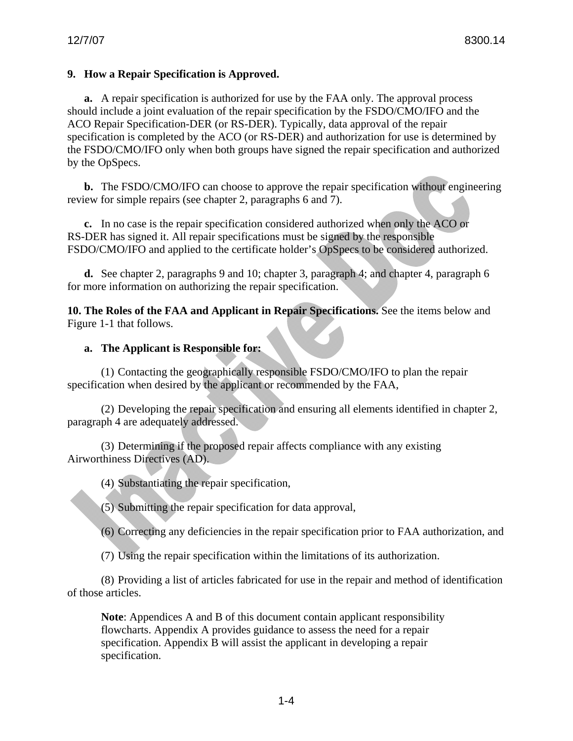## **9. How a Repair Specification is Approved.**

**a.** A repair specification is authorized for use by the FAA only. The approval process should include a joint evaluation of the repair specification by the FSDO/CMO/IFO and the ACO Repair Specification-DER (or RS-DER). Typically, data approval of the repair specification is completed by the ACO (or RS-DER) and authorization for use is determined by the FSDO/CMO/IFO only when both groups have signed the repair specification and authorized by the OpSpecs.

**b.** The FSDO/CMO/IFO can choose to approve the repair specification without engineering review for simple repairs (see chapter 2, paragraphs 6 and 7).

**c.** In no case is the repair specification considered authorized when only the ACO or RS-DER has signed it. All repair specifications must be signed by the responsible FSDO/CMO/IFO and applied to the certificate holder's OpSpecs to be considered authorized.

**d.** See chapter 2, paragraphs 9 and 10; chapter 3, paragraph 4; and chapter 4, paragraph 6 for more information on authorizing the repair specification.

**10. The Roles of the FAA and Applicant in Repair Specifications.** See the items below and Figure 1-1 that follows.

### **a. The Applicant is Responsible for:**

(1) Contacting the geographically responsible FSDO/CMO/IFO to plan the repair specification when desired by the applicant or recommended by the FAA,

(2) Developing the repair specification and ensuring all elements identified in chapter 2, paragraph 4 are adequately addressed.

(3) Determining if the proposed repair affects compliance with any existing Airworthiness Directives (AD).

(4) Substantiating the repair specification,

(5) Submitting the repair specification for data approval,

(6) Correcting any deficiencies in the repair specification prior to FAA authorization, and

(7) Using the repair specification within the limitations of its authorization.

(8) Providing a list of articles fabricated for use in the repair and method of identification of those articles.

**Note**: Appendices A and B of this document contain applicant responsibility flowcharts. Appendix A provides guidance to assess the need for a repair specification. Appendix B will assist the applicant in developing a repair specification.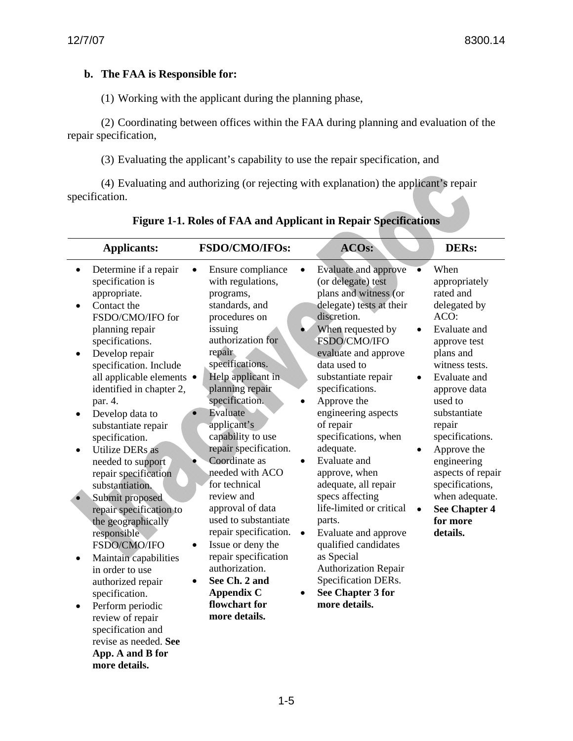# **b. The FAA is Responsible for:**

**App. A and B for more details.**

(1) Working with the applicant during the planning phase,

(2) Coordinating between offices within the FAA during planning and evaluation of the repair specification,

(3) Evaluating the applicant's capability to use the repair specification, and

(4) Evaluating and authorizing (or rejecting with explanation) the applicant's repair specification.

| <b>Applicants:</b>                                                                                                                                                                                                                                                                                                                                                                                                                                                                                                                                                                                                                                                                                     | <b>FSDO/CMO/IFOs:</b>                                                                                                                                                                                                                                                                                                                                                                                                                                                                                                                                                 | ACOs:                                                                                                                                                                                                                                                                                                                                                                                                                                                                                                                                                                                                                                                   | <b>DERs:</b>                                                                                                                                                                                                                                                                                                                                              |
|--------------------------------------------------------------------------------------------------------------------------------------------------------------------------------------------------------------------------------------------------------------------------------------------------------------------------------------------------------------------------------------------------------------------------------------------------------------------------------------------------------------------------------------------------------------------------------------------------------------------------------------------------------------------------------------------------------|-----------------------------------------------------------------------------------------------------------------------------------------------------------------------------------------------------------------------------------------------------------------------------------------------------------------------------------------------------------------------------------------------------------------------------------------------------------------------------------------------------------------------------------------------------------------------|---------------------------------------------------------------------------------------------------------------------------------------------------------------------------------------------------------------------------------------------------------------------------------------------------------------------------------------------------------------------------------------------------------------------------------------------------------------------------------------------------------------------------------------------------------------------------------------------------------------------------------------------------------|-----------------------------------------------------------------------------------------------------------------------------------------------------------------------------------------------------------------------------------------------------------------------------------------------------------------------------------------------------------|
| Determine if a repair<br>specification is<br>appropriate.<br>Contact the<br>FSDO/CMO/IFO for<br>planning repair<br>specifications.<br>Develop repair<br>specification. Include<br>all applicable elements ·<br>identified in chapter 2,<br>par. 4.<br>Develop data to<br>substantiate repair<br>specification.<br><b>Utilize DERs</b> as<br>needed to support<br>repair specification<br>substantiation.<br>Submit proposed<br>repair specification to<br>the geographically<br>responsible<br>FSDO/CMO/IFO<br>$\bullet$<br>Maintain capabilities<br>in order to use<br>authorized repair<br>specification.<br>Perform periodic<br>٠<br>review of repair<br>specification and<br>revise as needed. See | Ensure compliance<br>with regulations,<br>programs,<br>standards, and<br>procedures on<br>issuing<br>authorization for<br>repair<br>specifications.<br>Help applicant in<br>planning repair<br>specification.<br>Evaluate<br>applicant's<br>capability to use<br>repair specification.<br>Coordinate as<br>needed with ACO<br>for technical<br>review and<br>approval of data<br>used to substantiate<br>repair specification.<br>Issue or deny the<br>repair specification<br>authorization.<br>See Ch. 2 and<br><b>Appendix C</b><br>flowchart for<br>more details. | Evaluate and approve<br>(or delegate) test<br>plans and witness (or<br>delegate) tests at their<br>discretion.<br>When requested by<br>$\bullet$<br>FSDO/CMO/IFO<br>evaluate and approve<br>data used to<br>substantiate repair<br>$\bullet$<br>specifications.<br>Approve the<br>engineering aspects<br>of repair<br>specifications, when<br>adequate.<br>Evaluate and<br>approve, when<br>adequate, all repair<br>specs affecting<br>life-limited or critical<br>parts.<br>Evaluate and approve<br>$\bullet$<br>qualified candidates<br>as Special<br><b>Authorization Repair</b><br>Specification DERs.<br><b>See Chapter 3 for</b><br>more details. | When<br>appropriately<br>rated and<br>delegated by<br>ACO:<br>Evaluate and<br>approve test<br>plans and<br>witness tests.<br>Evaluate and<br>approve data<br>used to<br>substantiate<br>repair<br>specifications.<br>Approve the<br>engineering<br>aspects of repair<br>specifications,<br>when adequate.<br><b>See Chapter 4</b><br>for more<br>details. |

**Figure 1-1. Roles of FAA and Applicant in Repair Specifications**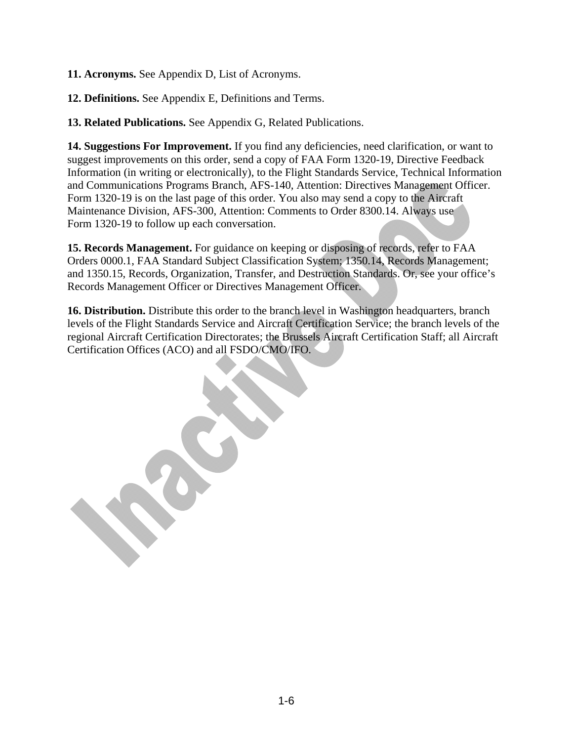**11. Acronyms.** See Appendix D, List of Acronyms.

**12. Definitions.** See Appendix E, Definitions and Terms.

**13. Related Publications.** See Appendix G, Related Publications.

**14. Suggestions For Improvement.** If you find any deficiencies, need clarification, or want to suggest improvements on this order, send a copy of FAA Form 1320-19, Directive Feedback Information (in writing or electronically), to the Flight Standards Service, Technical Information and Communications Programs Branch, AFS-140*,* Attention: Directives Management Officer. Form 1320-19 is on the last page of this order. You also may send a copy to the Aircraft Maintenance Division, AFS-300, Attention: Comments to Order 8300.14. Always use Form 1320-19 to follow up each conversation.

**15. Records Management.** For guidance on keeping or disposing of records, refer to FAA Orders 0000.1, FAA Standard Subject Classification System; 1350.14, Records Management; and 1350.15, Records, Organization, Transfer, and Destruction Standards. Or, see your office's Records Management Officer or Directives Management Officer.

**16. Distribution.** Distribute this order to the branch level in Washington headquarters, branch levels of the Flight Standards Service and Aircraft Certification Service; the branch levels of the regional Aircraft Certification Directorates; the Brussels Aircraft Certification Staff; all Aircraft Certification Offices (ACO) and all FSDO/CMO/IFO.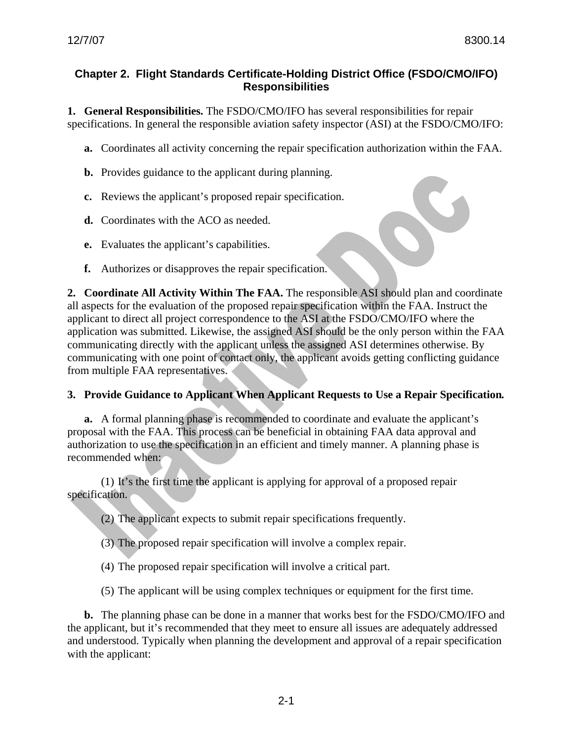### **Chapter 2. Flight Standards Certificate-Holding District Office (FSDO/CMO/IFO) Responsibilities**

**1. General Responsibilities.** The FSDO/CMO/IFO has several responsibilities for repair specifications. In general the responsible aviation safety inspector (ASI) at the FSDO/CMO/IFO:

**a.** Coordinates all activity concerning the repair specification authorization within the FAA.

- **b.** Provides guidance to the applicant during planning.
- **c.** Reviews the applicant's proposed repair specification.
- **d.** Coordinates with the ACO as needed.
- **e.** Evaluates the applicant's capabilities.
- **f.** Authorizes or disapproves the repair specification.

**2. Coordinate All Activity Within The FAA.** The responsible ASI should plan and coordinate all aspects for the evaluation of the proposed repair specification within the FAA. Instruct the applicant to direct all project correspondence to the ASI at the FSDO/CMO/IFO where the application was submitted. Likewise, the assigned ASI should be the only person within the FAA communicating directly with the applicant unless the assigned ASI determines otherwise. By communicating with one point of contact only, the applicant avoids getting conflicting guidance from multiple FAA representatives.

### **3. Provide Guidance to Applicant When Applicant Requests to Use a Repair Specification***.*

**a.** A formal planning phase is recommended to coordinate and evaluate the applicant's proposal with the FAA. This process can be beneficial in obtaining FAA data approval and authorization to use the specification in an efficient and timely manner. A planning phase is recommended when:

(1) It's the first time the applicant is applying for approval of a proposed repair specification.

(2) The applicant expects to submit repair specifications frequently.

- (3) The proposed repair specification will involve a complex repair.
- (4) The proposed repair specification will involve a critical part.
- (5) The applicant will be using complex techniques or equipment for the first time.

**b.** The planning phase can be done in a manner that works best for the FSDO/CMO/IFO and the applicant, but it's recommended that they meet to ensure all issues are adequately addressed and understood. Typically when planning the development and approval of a repair specification with the applicant: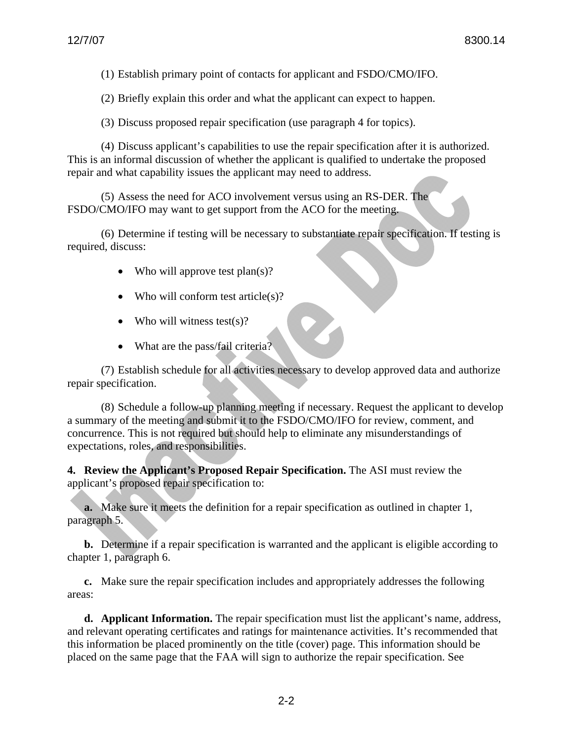(1) Establish primary point of contacts for applicant and FSDO/CMO/IFO.

(2) Briefly explain this order and what the applicant can expect to happen.

(3) Discuss proposed repair specification (use paragraph 4 for topics).

(4) Discuss applicant's capabilities to use the repair specification after it is authorized. This is an informal discussion of whether the applicant is qualified to undertake the proposed repair and what capability issues the applicant may need to address.

(5) Assess the need for ACO involvement versus using an RS-DER. The FSDO/CMO/IFO may want to get support from the ACO for the meeting.

(6) Determine if testing will be necessary to substantiate repair specification. If testing is required, discuss:

- Who will approve test  $plan(s)?$
- Who will conform test article(s)?
- Who will witness test(s)?
- What are the pass/fail criteria?

(7) Establish schedule for all activities necessary to develop approved data and authorize repair specification.

(8) Schedule a follow-up planning meeting if necessary. Request the applicant to develop a summary of the meeting and submit it to the FSDO/CMO/IFO for review, comment, and concurrence. This is not required but should help to eliminate any misunderstandings of expectations, roles, and responsibilities.

**4. Review the Applicant's Proposed Repair Specification.** The ASI must review the applicant's proposed repair specification to:

**a.** Make sure it meets the definition for a repair specification as outlined in chapter 1, paragraph 5.

**b.** Determine if a repair specification is warranted and the applicant is eligible according to chapter 1, paragraph 6.

**c.** Make sure the repair specification includes and appropriately addresses the following areas:

**d. Applicant Information.** The repair specification must list the applicant's name, address, and relevant operating certificates and ratings for maintenance activities. It's recommended that this information be placed prominently on the title (cover) page. This information should be placed on the same page that the FAA will sign to authorize the repair specification. See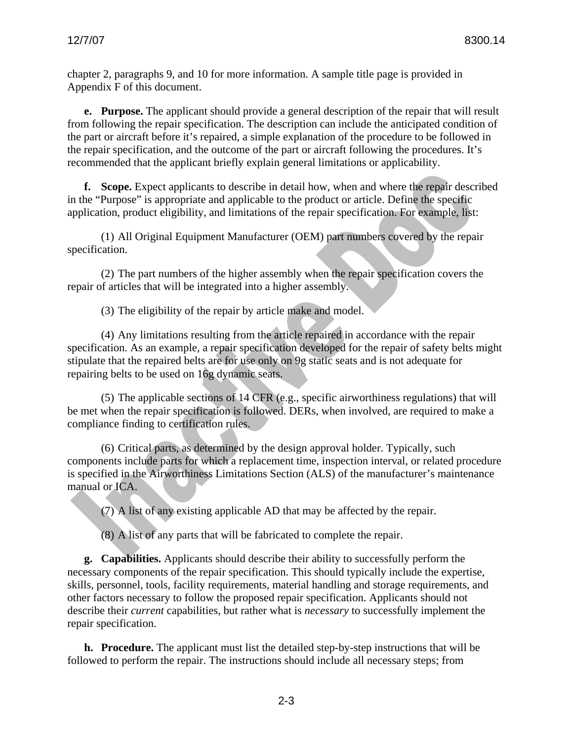chapter 2, paragraphs 9, and 10 for more information. A sample title page is provided in Appendix F of this document.

**e. Purpose.** The applicant should provide a general description of the repair that will result from following the repair specification. The description can include the anticipated condition of the part or aircraft before it's repaired, a simple explanation of the procedure to be followed in the repair specification, and the outcome of the part or aircraft following the procedures. It's recommended that the applicant briefly explain general limitations or applicability.

**f. Scope.** Expect applicants to describe in detail how, when and where the repair described in the "Purpose" is appropriate and applicable to the product or article. Define the specific application, product eligibility, and limitations of the repair specification. For example, list:

(1) All Original Equipment Manufacturer (OEM) part numbers covered by the repair specification.

(2) The part numbers of the higher assembly when the repair specification covers the repair of articles that will be integrated into a higher assembly.

(3) The eligibility of the repair by article make and model.

(4) Any limitations resulting from the article repaired in accordance with the repair specification. As an example, a repair specification developed for the repair of safety belts might stipulate that the repaired belts are for use only on 9g static seats and is not adequate for repairing belts to be used on 16g dynamic seats.

(5) The applicable sections of 14 CFR (e.g., specific airworthiness regulations) that will be met when the repair specification is followed. DERs, when involved, are required to make a compliance finding to certification rules.

(6) Critical parts, as determined by the design approval holder. Typically, such components include parts for which a replacement time, inspection interval, or related procedure is specified in the Airworthiness Limitations Section (ALS) of the manufacturer's maintenance manual or ICA.

(7) A list of any existing applicable AD that may be affected by the repair.

(8) A list of any parts that will be fabricated to complete the repair.

**g. Capabilities.** Applicants should describe their ability to successfully perform the necessary components of the repair specification. This should typically include the expertise, skills, personnel, tools, facility requirements, material handling and storage requirements, and other factors necessary to follow the proposed repair specification. Applicants should not describe their *current* capabilities, but rather what is *necessary* to successfully implement the repair specification.

**h. Procedure.** The applicant must list the detailed step-by-step instructions that will be followed to perform the repair. The instructions should include all necessary steps; from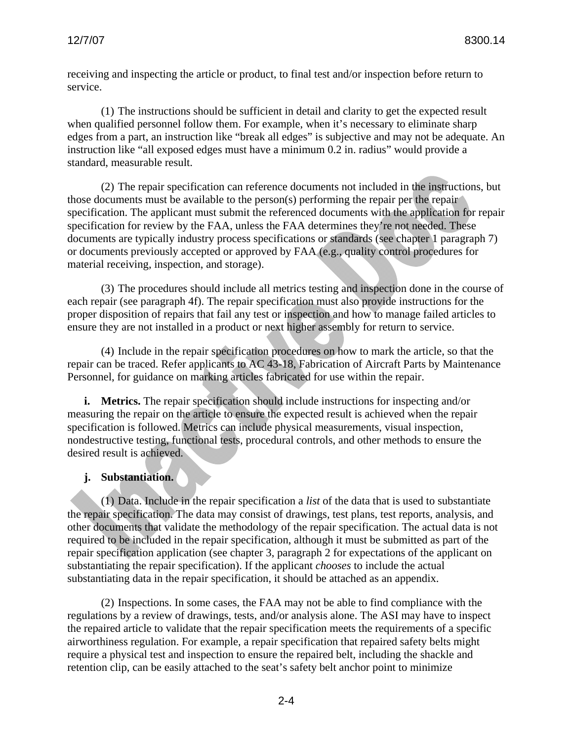receiving and inspecting the article or product, to final test and/or inspection before return to service.

(1) The instructions should be sufficient in detail and clarity to get the expected result when qualified personnel follow them. For example, when it's necessary to eliminate sharp edges from a part, an instruction like "break all edges" is subjective and may not be adequate. An instruction like "all exposed edges must have a minimum 0.2 in. radius" would provide a standard, measurable result.

(2) The repair specification can reference documents not included in the instructions, but those documents must be available to the person(s) performing the repair per the repair specification. The applicant must submit the referenced documents with the application for repair specification for review by the FAA, unless the FAA determines they're not needed. These documents are typically industry process specifications or standards (see chapter 1 paragraph 7) or documents previously accepted or approved by FAA (e.g., quality control procedures for material receiving, inspection, and storage).

(3) The procedures should include all metrics testing and inspection done in the course of each repair (see paragraph 4f). The repair specification must also provide instructions for the proper disposition of repairs that fail any test or inspection and how to manage failed articles to ensure they are not installed in a product or next higher assembly for return to service.

(4) Include in the repair specification procedures on how to mark the article, so that the repair can be traced. Refer applicants to AC 43-18, Fabrication of Aircraft Parts by Maintenance Personnel, for guidance on marking articles fabricated for use within the repair.

**i. Metrics.** The repair specification should include instructions for inspecting and/or measuring the repair on the article to ensure the expected result is achieved when the repair specification is followed. Metrics can include physical measurements, visual inspection, nondestructive testing, functional tests, procedural controls, and other methods to ensure the desired result is achieved.

### **j. Substantiation.**

(1) Data. Include in the repair specification a *list* of the data that is used to substantiate the repair specification. The data may consist of drawings, test plans, test reports, analysis, and other documents that validate the methodology of the repair specification. The actual data is not required to be included in the repair specification, although it must be submitted as part of the repair specification application (see chapter 3, paragraph 2 for expectations of the applicant on substantiating the repair specification). If the applicant *chooses* to include the actual substantiating data in the repair specification, it should be attached as an appendix.

(2) Inspections. In some cases, the FAA may not be able to find compliance with the regulations by a review of drawings, tests, and/or analysis alone. The ASI may have to inspect the repaired article to validate that the repair specification meets the requirements of a specific airworthiness regulation. For example, a repair specification that repaired safety belts might require a physical test and inspection to ensure the repaired belt, including the shackle and retention clip, can be easily attached to the seat's safety belt anchor point to minimize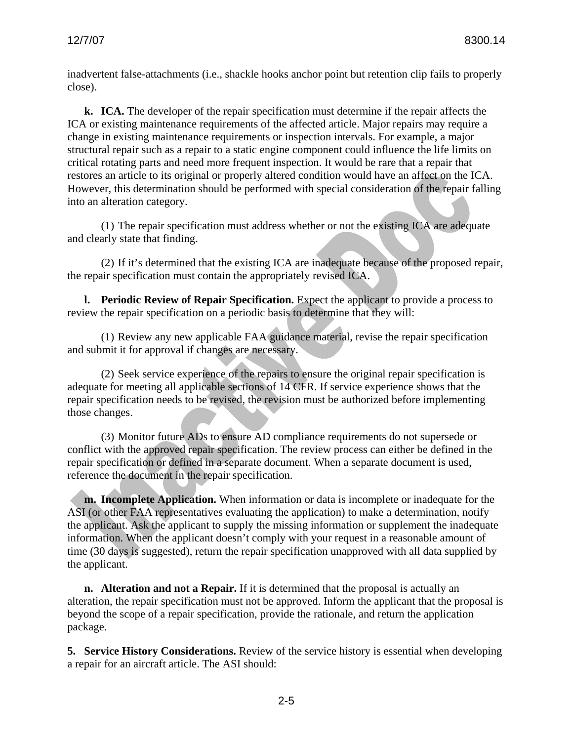inadvertent false-attachments (i.e., shackle hooks anchor point but retention clip fails to properly close).

**k. ICA.** The developer of the repair specification must determine if the repair affects the ICA or existing maintenance requirements of the affected article. Major repairs may require a change in existing maintenance requirements or inspection intervals. For example, a major structural repair such as a repair to a static engine component could influence the life limits on critical rotating parts and need more frequent inspection. It would be rare that a repair that restores an article to its original or properly altered condition would have an affect on the ICA. However, this determination should be performed with special consideration of the repair falling into an alteration category.

(1) The repair specification must address whether or not the existing ICA are adequate and clearly state that finding.

(2) If it's determined that the existing ICA are inadequate because of the proposed repair, the repair specification must contain the appropriately revised ICA.

**l. Periodic Review of Repair Specification.** Expect the applicant to provide a process to review the repair specification on a periodic basis to determine that they will:

(1) Review any new applicable FAA guidance material, revise the repair specification and submit it for approval if changes are necessary.

(2) Seek service experience of the repairs to ensure the original repair specification is adequate for meeting all applicable sections of 14 CFR. If service experience shows that the repair specification needs to be revised, the revision must be authorized before implementing those changes.

(3) Monitor future ADs to ensure AD compliance requirements do not supersede or conflict with the approved repair specification. The review process can either be defined in the repair specification or defined in a separate document. When a separate document is used, reference the document in the repair specification.

**m. Incomplete Application.** When information or data is incomplete or inadequate for the ASI (or other FAA representatives evaluating the application) to make a determination, notify the applicant. Ask the applicant to supply the missing information or supplement the inadequate information. When the applicant doesn't comply with your request in a reasonable amount of time (30 days is suggested), return the repair specification unapproved with all data supplied by the applicant.

**n. Alteration and not a Repair.** If it is determined that the proposal is actually an alteration, the repair specification must not be approved. Inform the applicant that the proposal is beyond the scope of a repair specification, provide the rationale, and return the application package.

**5. Service History Considerations.** Review of the service history is essential when developing a repair for an aircraft article. The ASI should: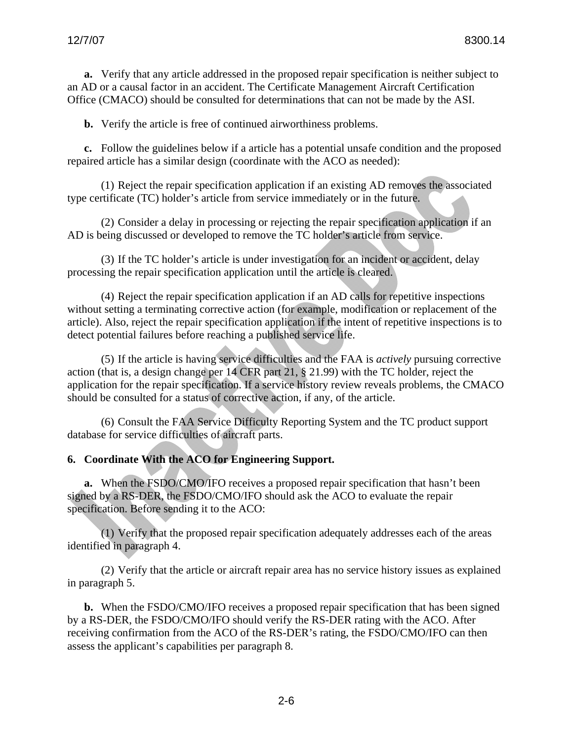**a.** Verify that any article addressed in the proposed repair specification is neither subject to an AD or a causal factor in an accident. The Certificate Management Aircraft Certification Office (CMACO) should be consulted for determinations that can not be made by the ASI.

**b.** Verify the article is free of continued airworthiness problems.

**c.** Follow the guidelines below if a article has a potential unsafe condition and the proposed repaired article has a similar design (coordinate with the ACO as needed):

(1) Reject the repair specification application if an existing AD removes the associated type certificate (TC) holder's article from service immediately or in the future.

(2) Consider a delay in processing or rejecting the repair specification application if an AD is being discussed or developed to remove the TC holder's article from service.

(3) If the TC holder's article is under investigation for an incident or accident, delay processing the repair specification application until the article is cleared.

(4) Reject the repair specification application if an AD calls for repetitive inspections without setting a terminating corrective action (for example, modification or replacement of the article). Also, reject the repair specification application if the intent of repetitive inspections is to detect potential failures before reaching a published service life.

(5) If the article is having service difficulties and the FAA is *actively* pursuing corrective action (that is, a design change per 14 CFR part 21, § 21.99) with the TC holder, reject the application for the repair specification. If a service history review reveals problems, the CMACO should be consulted for a status of corrective action, if any, of the article.

(6) Consult the FAA Service Difficulty Reporting System and the TC product support database for service difficulties of aircraft parts.

#### **6. Coordinate With the ACO for Engineering Support.**

**a.** When the FSDO/CMO/IFO receives a proposed repair specification that hasn't been signed by a RS-DER, the FSDO/CMO/IFO should ask the ACO to evaluate the repair specification. Before sending it to the ACO:

(1) Verify that the proposed repair specification adequately addresses each of the areas identified in paragraph 4.

(2) Verify that the article or aircraft repair area has no service history issues as explained in paragraph 5.

**b.** When the FSDO/CMO/IFO receives a proposed repair specification that has been signed by a RS-DER, the FSDO/CMO/IFO should verify the RS-DER rating with the ACO. After receiving confirmation from the ACO of the RS-DER's rating, the FSDO/CMO/IFO can then assess the applicant's capabilities per paragraph 8.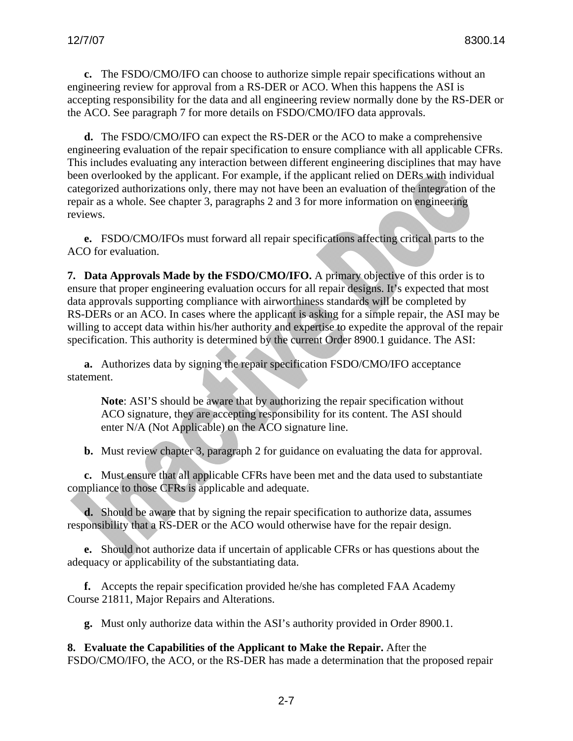**c.** The FSDO/CMO/IFO can choose to authorize simple repair specifications without an engineering review for approval from a RS-DER or ACO. When this happens the ASI is accepting responsibility for the data and all engineering review normally done by the RS-DER or the ACO. See paragraph 7 for more details on FSDO/CMO/IFO data approvals.

**d.** The FSDO/CMO/IFO can expect the RS-DER or the ACO to make a comprehensive engineering evaluation of the repair specification to ensure compliance with all applicable CFRs. This includes evaluating any interaction between different engineering disciplines that may have been overlooked by the applicant. For example, if the applicant relied on DERs with individual categorized authorizations only, there may not have been an evaluation of the integration of the repair as a whole. See chapter 3, paragraphs 2 and 3 for more information on engineering reviews.

**e.** FSDO/CMO/IFOs must forward all repair specifications affecting critical parts to the ACO for evaluation.

**7. Data Approvals Made by the FSDO/CMO/IFO.** A primary objective of this order is to ensure that proper engineering evaluation occurs for all repair designs. It's expected that most data approvals supporting compliance with airworthiness standards will be completed by RS-DERs or an ACO. In cases where the applicant is asking for a simple repair, the ASI may be willing to accept data within his/her authority and expertise to expedite the approval of the repair specification. This authority is determined by the current Order 8900.1 guidance. The ASI:

**a.** Authorizes data by signing the repair specification FSDO/CMO/IFO acceptance statement.

**Note**: ASI'S should be aware that by authorizing the repair specification without ACO signature, they are accepting responsibility for its content. The ASI should enter N/A (Not Applicable) on the ACO signature line.

**b.** Must review chapter 3, paragraph 2 for guidance on evaluating the data for approval.

**c.** Must ensure that all applicable CFRs have been met and the data used to substantiate compliance to those CFRs is applicable and adequate.

**d.** Should be aware that by signing the repair specification to authorize data, assumes responsibility that a RS-DER or the ACO would otherwise have for the repair design.

**e.** Should not authorize data if uncertain of applicable CFRs or has questions about the adequacy or applicability of the substantiating data.

**f.** Accepts the repair specification provided he/she has completed FAA Academy Course 21811, Major Repairs and Alterations.

**g.** Must only authorize data within the ASI's authority provided in Order 8900.1.

**8. Evaluate the Capabilities of the Applicant to Make the Repair.** After the FSDO/CMO/IFO, the ACO, or the RS-DER has made a determination that the proposed repair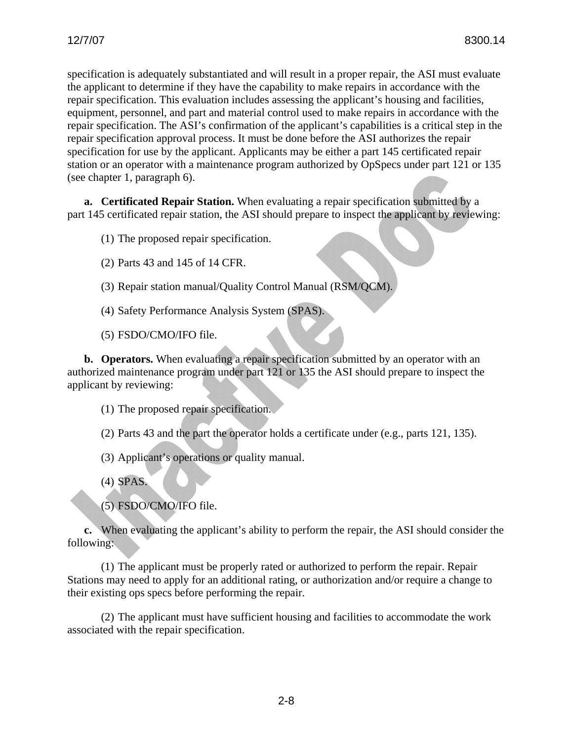specification is adequately substantiated and will result in a proper repair, the ASI must evaluate the applicant to determine if they have the capability to make repairs in accordance with the repair specification. This evaluation includes assessing the applicant's housing and facilities, equipment, personnel, and part and material control used to make repairs in accordance with the repair specification. The ASI's confirmation of the applicant's capabilities is a critical step in the repair specification approval process. It must be done before the ASI authorizes the repair specification for use by the applicant. Applicants may be either a part 145 certificated repair station or an operator with a maintenance program authorized by OpSpecs under part 121 or 135 (see chapter 1, paragraph 6).

**a. Certificated Repair Station.** When evaluating a repair specification submitted by a part 145 certificated repair station, the ASI should prepare to inspect the applicant by reviewing:

(1) The proposed repair specification.

- (2) Parts 43 and 145 of 14 CFR.
- (3) Repair station manual/Quality Control Manual (RSM/QCM).
- (4) Safety Performance Analysis System (SPAS).
- (5) FSDO/CMO/IFO file.

**b. Operators.** When evaluating a repair specification submitted by an operator with an authorized maintenance program under part 121 or 135 the ASI should prepare to inspect the applicant by reviewing:

- (1) The proposed repair specification.
- (2) Parts 43 and the part the operator holds a certificate under (e.g., parts 121, 135).
- (3) Applicant's operations or quality manual.
- (4) SPAS.
- (5) FSDO/CMO/IFO file.

**c.** When evaluating the applicant's ability to perform the repair, the ASI should consider the following:

(1) The applicant must be properly rated or authorized to perform the repair. Repair Stations may need to apply for an additional rating, or authorization and/or require a change to their existing ops specs before performing the repair.

(2) The applicant must have sufficient housing and facilities to accommodate the work associated with the repair specification.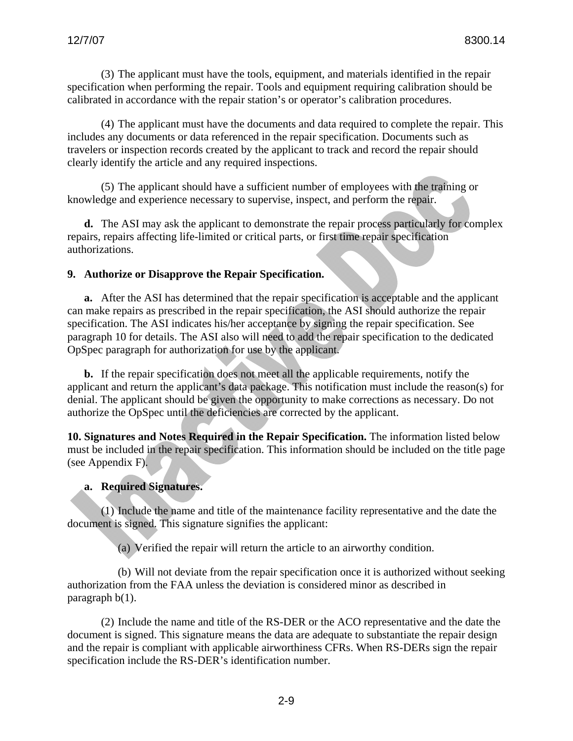(3) The applicant must have the tools, equipment, and materials identified in the repair specification when performing the repair. Tools and equipment requiring calibration should be calibrated in accordance with the repair station's or operator's calibration procedures.

(4) The applicant must have the documents and data required to complete the repair. This includes any documents or data referenced in the repair specification. Documents such as travelers or inspection records created by the applicant to track and record the repair should clearly identify the article and any required inspections.

(5) The applicant should have a sufficient number of employees with the training or knowledge and experience necessary to supervise, inspect, and perform the repair.

**d.** The ASI may ask the applicant to demonstrate the repair process particularly for complex repairs, repairs affecting life-limited or critical parts, or first time repair specification authorizations.

#### **9. Authorize or Disapprove the Repair Specification.**

**a.** After the ASI has determined that the repair specification is acceptable and the applicant can make repairs as prescribed in the repair specification, the ASI should authorize the repair specification. The ASI indicates his/her acceptance by signing the repair specification. See paragraph 10 for details. The ASI also will need to add the repair specification to the dedicated OpSpec paragraph for authorization for use by the applicant.

**b.** If the repair specification does not meet all the applicable requirements, notify the applicant and return the applicant's data package. This notification must include the reason(s) for denial. The applicant should be given the opportunity to make corrections as necessary. Do not authorize the OpSpec until the deficiencies are corrected by the applicant.

**10. Signatures and Notes Required in the Repair Specification.** The information listed below must be included in the repair specification. This information should be included on the title page (see Appendix F).

#### **a. Required Signatures.**

(1) Include the name and title of the maintenance facility representative and the date the document is signed. This signature signifies the applicant:

(a) Verified the repair will return the article to an airworthy condition.

(b) Will not deviate from the repair specification once it is authorized without seeking authorization from the FAA unless the deviation is considered minor as described in paragraph b(1).

(2) Include the name and title of the RS-DER or the ACO representative and the date the document is signed. This signature means the data are adequate to substantiate the repair design and the repair is compliant with applicable airworthiness CFRs. When RS-DERs sign the repair specification include the RS-DER's identification number.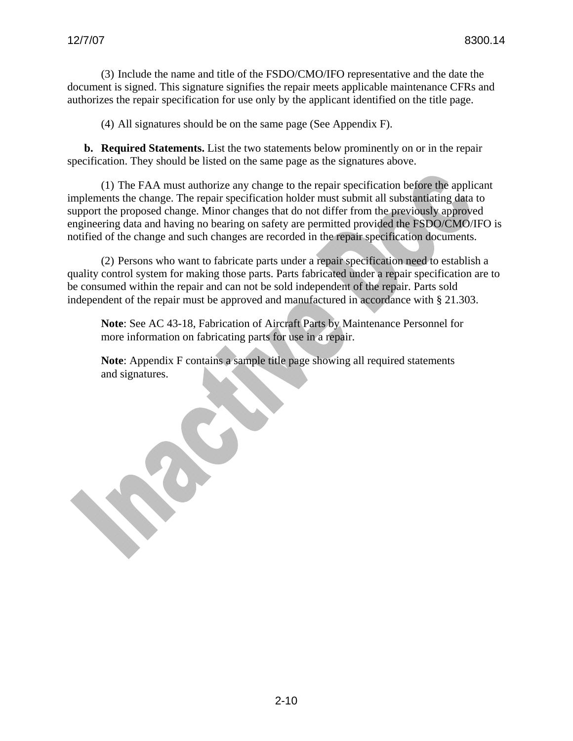(3) Include the name and title of the FSDO/CMO/IFO representative and the date the document is signed. This signature signifies the repair meets applicable maintenance CFRs and authorizes the repair specification for use only by the applicant identified on the title page.

(4) All signatures should be on the same page (See Appendix F).

**b. Required Statements.** List the two statements below prominently on or in the repair specification. They should be listed on the same page as the signatures above.

(1) The FAA must authorize any change to the repair specification before the applicant implements the change. The repair specification holder must submit all substantiating data to support the proposed change. Minor changes that do not differ from the previously approved engineering data and having no bearing on safety are permitted provided the FSDO/CMO/IFO is notified of the change and such changes are recorded in the repair specification documents.

(2) Persons who want to fabricate parts under a repair specification need to establish a quality control system for making those parts. Parts fabricated under a repair specification are to be consumed within the repair and can not be sold independent of the repair. Parts sold independent of the repair must be approved and manufactured in accordance with § 21.303.

**Note**: See AC 43-18, Fabrication of Aircraft Parts by Maintenance Personnel for more information on fabricating parts for use in a repair.

**Note**: Appendix F contains a sample title page showing all required statements and signatures.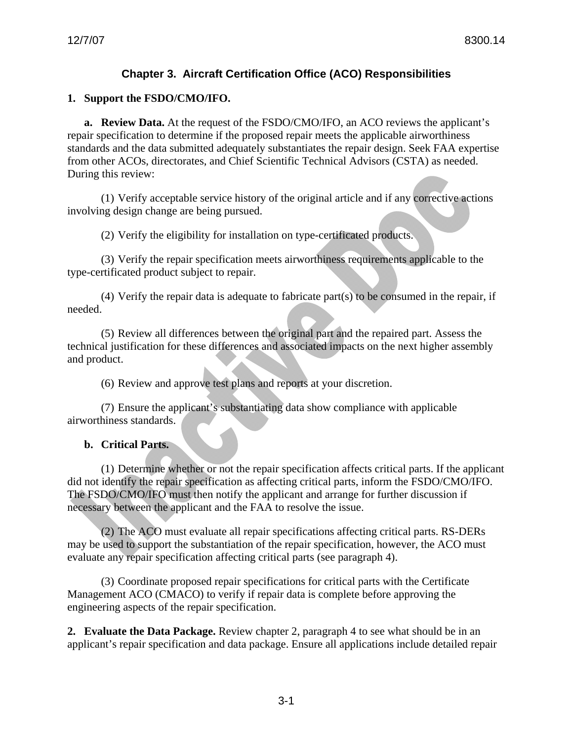# **Chapter 3. Aircraft Certification Office (ACO) Responsibilities**

#### **1. Support the FSDO/CMO/IFO.**

**a. Review Data.** At the request of the FSDO/CMO/IFO, an ACO reviews the applicant's repair specification to determine if the proposed repair meets the applicable airworthiness standards and the data submitted adequately substantiates the repair design. Seek FAA expertise from other ACOs, directorates, and Chief Scientific Technical Advisors (CSTA) as needed. During this review:

(1) Verify acceptable service history of the original article and if any corrective actions involving design change are being pursued.

(2) Verify the eligibility for installation on type-certificated products.

(3) Verify the repair specification meets airworthiness requirements applicable to the type-certificated product subject to repair.

(4) Verify the repair data is adequate to fabricate part(s) to be consumed in the repair, if needed.

(5) Review all differences between the original part and the repaired part. Assess the technical justification for these differences and associated impacts on the next higher assembly and product.

(6) Review and approve test plans and reports at your discretion.

(7) Ensure the applicant's substantiating data show compliance with applicable airworthiness standards.

#### **b. Critical Parts.**

(1) Determine whether or not the repair specification affects critical parts. If the applicant did not identify the repair specification as affecting critical parts, inform the FSDO/CMO/IFO. The FSDO/CMO/IFO must then notify the applicant and arrange for further discussion if necessary between the applicant and the FAA to resolve the issue.

(2) The ACO must evaluate all repair specifications affecting critical parts. RS-DERs may be used to support the substantiation of the repair specification, however, the ACO must evaluate any repair specification affecting critical parts (see paragraph 4).

(3) Coordinate proposed repair specifications for critical parts with the Certificate Management ACO (CMACO) to verify if repair data is complete before approving the engineering aspects of the repair specification.

**2. Evaluate the Data Package.** Review chapter 2, paragraph 4 to see what should be in an applicant's repair specification and data package. Ensure all applications include detailed repair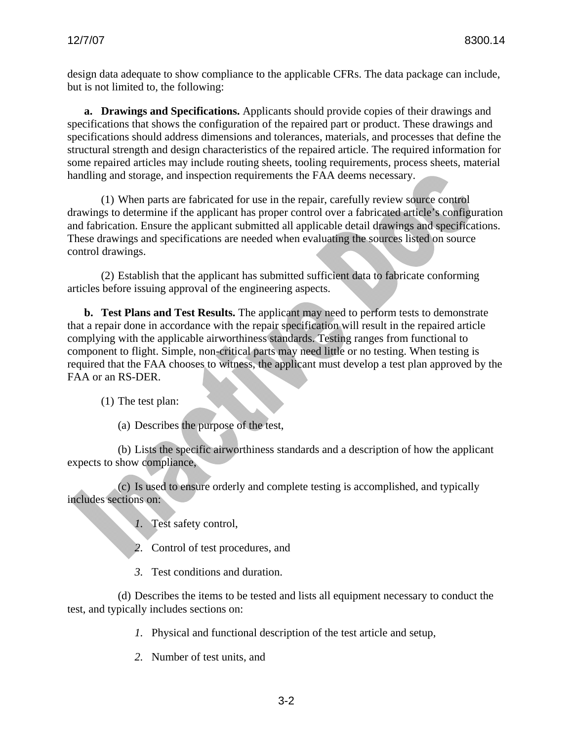design data adequate to show compliance to the applicable CFRs. The data package can include, but is not limited to, the following:

**a. Drawings and Specifications.** Applicants should provide copies of their drawings and specifications that shows the configuration of the repaired part or product. These drawings and specifications should address dimensions and tolerances, materials, and processes that define the structural strength and design characteristics of the repaired article. The required information for some repaired articles may include routing sheets, tooling requirements, process sheets, material handling and storage, and inspection requirements the FAA deems necessary.

(1) When parts are fabricated for use in the repair, carefully review source control drawings to determine if the applicant has proper control over a fabricated article's configuration and fabrication. Ensure the applicant submitted all applicable detail drawings and specifications. These drawings and specifications are needed when evaluating the sources listed on source control drawings.

(2) Establish that the applicant has submitted sufficient data to fabricate conforming articles before issuing approval of the engineering aspects.

**b. Test Plans and Test Results.** The applicant may need to perform tests to demonstrate that a repair done in accordance with the repair specification will result in the repaired article complying with the applicable airworthiness standards. Testing ranges from functional to component to flight. Simple, non-critical parts may need little or no testing. When testing is required that the FAA chooses to witness, the applicant must develop a test plan approved by the FAA or an RS-DER.

(1) The test plan:

(a) Describes the purpose of the test,

(b) Lists the specific airworthiness standards and a description of how the applicant expects to show compliance,

(c) Is used to ensure orderly and complete testing is accomplished, and typically includes sections on:

*1.* Test safety control,

*2.* Control of test procedures, and

*3.* Test conditions and duration.

(d) Describes the items to be tested and lists all equipment necessary to conduct the test, and typically includes sections on:

*1.* Physical and functional description of the test article and setup,

*2.* Number of test units, and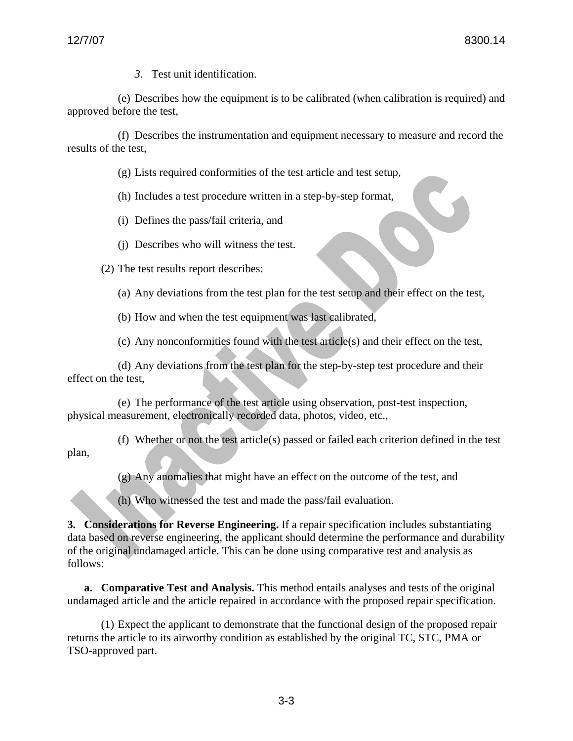*3.* Test unit identification.

(e) Describes how the equipment is to be calibrated (when calibration is required) and approved before the test,

(f) Describes the instrumentation and equipment necessary to measure and record the results of the test,

(g) Lists required conformities of the test article and test setup,

(h) Includes a test procedure written in a step-by-step format,

- (i) Defines the pass/fail criteria, and
- (j) Describes who will witness the test.

(2) The test results report describes:

(a) Any deviations from the test plan for the test setup and their effect on the test,

(b) How and when the test equipment was last calibrated,

(c) Any nonconformities found with the test article(s) and their effect on the test,

(d) Any deviations from the test plan for the step-by-step test procedure and their effect on the test,

(e) The performance of the test article using observation, post-test inspection, physical measurement, electronically recorded data, photos, video, etc.,

(f) Whether or not the test article(s) passed or failed each criterion defined in the test plan,

(g) Any anomalies that might have an effect on the outcome of the test, and

(h) Who witnessed the test and made the pass/fail evaluation.

**3. Considerations for Reverse Engineering.** If a repair specification includes substantiating data based on reverse engineering, the applicant should determine the performance and durability of the original undamaged article. This can be done using comparative test and analysis as follows:

**a. Comparative Test and Analysis.** This method entails analyses and tests of the original undamaged article and the article repaired in accordance with the proposed repair specification.

(1) Expect the applicant to demonstrate that the functional design of the proposed repair returns the article to its airworthy condition as established by the original TC, STC, PMA or TSO-approved part.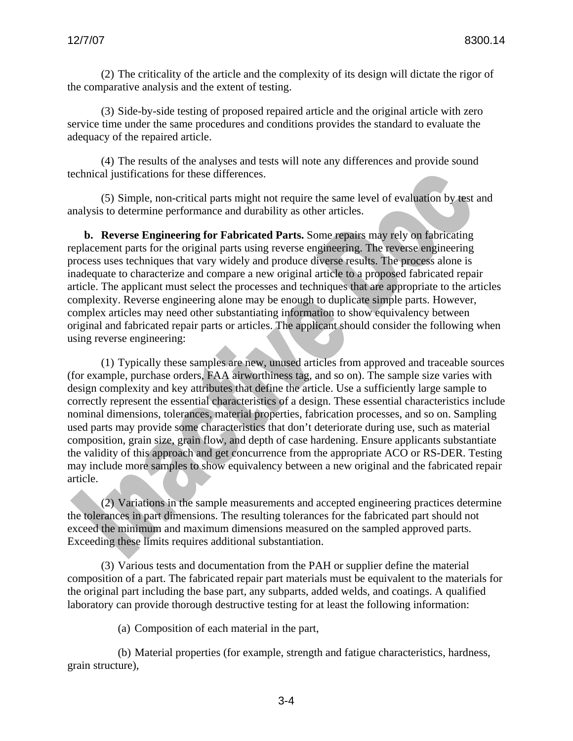(2) The criticality of the article and the complexity of its design will dictate the rigor of the comparative analysis and the extent of testing.

(3) Side-by-side testing of proposed repaired article and the original article with zero service time under the same procedures and conditions provides the standard to evaluate the adequacy of the repaired article.

(4) The results of the analyses and tests will note any differences and provide sound technical justifications for these differences.

(5) Simple, non-critical parts might not require the same level of evaluation by test and analysis to determine performance and durability as other articles.

**b. Reverse Engineering for Fabricated Parts.** Some repairs may rely on fabricating replacement parts for the original parts using reverse engineering. The reverse engineering process uses techniques that vary widely and produce diverse results. The process alone is inadequate to characterize and compare a new original article to a proposed fabricated repair article. The applicant must select the processes and techniques that are appropriate to the articles complexity. Reverse engineering alone may be enough to duplicate simple parts. However, complex articles may need other substantiating information to show equivalency between original and fabricated repair parts or articles. The applicant should consider the following when using reverse engineering:

(1) Typically these samples are new, unused articles from approved and traceable sources (for example, purchase orders, FAA airworthiness tag, and so on). The sample size varies with design complexity and key attributes that define the article. Use a sufficiently large sample to correctly represent the essential characteristics of a design. These essential characteristics include nominal dimensions, tolerances, material properties, fabrication processes, and so on. Sampling used parts may provide some characteristics that don't deteriorate during use, such as material composition, grain size, grain flow, and depth of case hardening. Ensure applicants substantiate the validity of this approach and get concurrence from the appropriate ACO or RS-DER. Testing may include more samples to show equivalency between a new original and the fabricated repair article.

(2) Variations in the sample measurements and accepted engineering practices determine the tolerances in part dimensions. The resulting tolerances for the fabricated part should not exceed the minimum and maximum dimensions measured on the sampled approved parts. Exceeding these limits requires additional substantiation.

(3) Various tests and documentation from the PAH or supplier define the material composition of a part. The fabricated repair part materials must be equivalent to the materials for the original part including the base part, any subparts, added welds, and coatings. A qualified laboratory can provide thorough destructive testing for at least the following information:

(a) Composition of each material in the part,

(b) Material properties (for example, strength and fatigue characteristics, hardness, grain structure),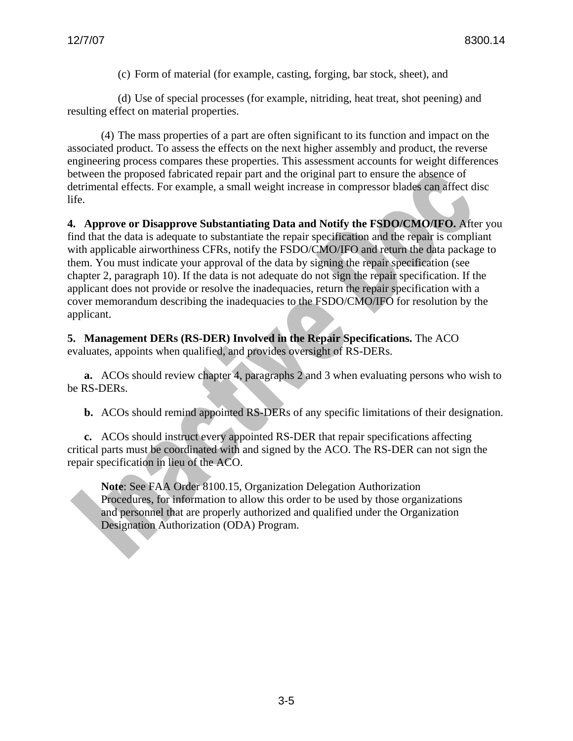(c) Form of material (for example, casting, forging, bar stock, sheet), and

(d) Use of special processes (for example, nitriding, heat treat, shot peening) and resulting effect on material properties.

(4) The mass properties of a part are often significant to its function and impact on the associated product. To assess the effects on the next higher assembly and product, the reverse engineering process compares these properties. This assessment accounts for weight differences between the proposed fabricated repair part and the original part to ensure the absence of detrimental effects. For example, a small weight increase in compressor blades can affect disc life.

**4. Approve or Disapprove Substantiating Data and Notify the FSDO/CMO/IFO.** After you find that the data is adequate to substantiate the repair specification and the repair is compliant with applicable airworthiness CFRs, notify the FSDO/CMO/IFO and return the data package to them. You must indicate your approval of the data by signing the repair specification (see chapter 2, paragraph 10). If the data is not adequate do not sign the repair specification. If the applicant does not provide or resolve the inadequacies, return the repair specification with a cover memorandum describing the inadequacies to the FSDO/CMO/IFO for resolution by the applicant.

**5. Management DERs (RS-DER) Involved in the Repair Specifications.** The ACO evaluates, appoints when qualified, and provides oversight of RS-DERs.

**a.** ACOs should review chapter 4, paragraphs 2 and 3 when evaluating persons who wish to be RS-DERs.

**b.** ACOs should remind appointed RS-DERs of any specific limitations of their designation.

**c.** ACOs should instruct every appointed RS-DER that repair specifications affecting critical parts must be coordinated with and signed by the ACO. The RS-DER can not sign the repair specification in lieu of the ACO.

**Note**: See FAA Order 8100.15, Organization Delegation Authorization Procedures, for information to allow this order to be used by those organizations and personnel that are properly authorized and qualified under the Organization Designation Authorization (ODA) Program.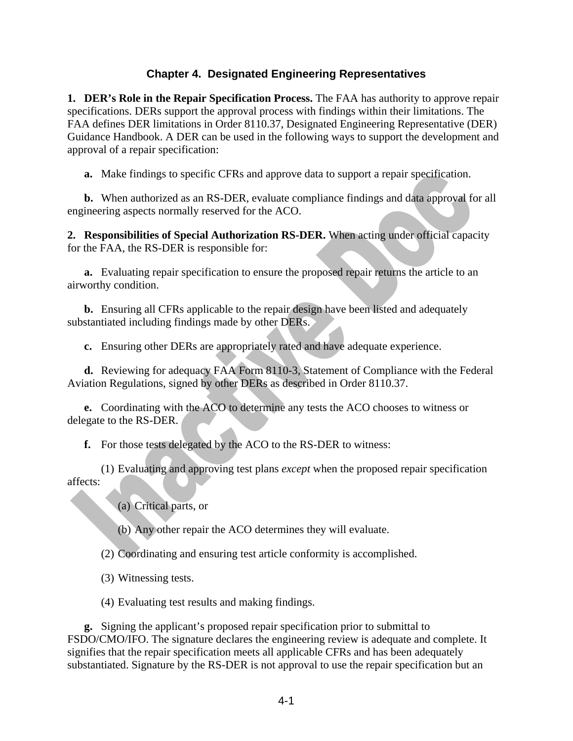### **Chapter 4. Designated Engineering Representatives**

**1. DER's Role in the Repair Specification Process.** The FAA has authority to approve repair specifications. DERs support the approval process with findings within their limitations. The FAA defines DER limitations in Order 8110.37, Designated Engineering Representative (DER) Guidance Handbook. A DER can be used in the following ways to support the development and approval of a repair specification:

**a.** Make findings to specific CFRs and approve data to support a repair specification.

**b.** When authorized as an RS-DER, evaluate compliance findings and data approval for all engineering aspects normally reserved for the ACO.

**2. Responsibilities of Special Authorization RS-DER.** When acting under official capacity for the FAA, the RS-DER is responsible for:

**a.** Evaluating repair specification to ensure the proposed repair returns the article to an airworthy condition.

**b.** Ensuring all CFRs applicable to the repair design have been listed and adequately substantiated including findings made by other DERs.

**c.** Ensuring other DERs are appropriately rated and have adequate experience.

**d.** Reviewing for adequacy FAA Form 8110-3, Statement of Compliance with the Federal Aviation Regulations, signed by other DERs as described in Order 8110.37.

**e.** Coordinating with the ACO to determine any tests the ACO chooses to witness or delegate to the RS-DER.

**f.** For those tests delegated by the ACO to the RS-DER to witness:

(1) Evaluating and approving test plans *except* when the proposed repair specification affects:

(a) Critical parts, or

(b) Any other repair the ACO determines they will evaluate.

(2) Coordinating and ensuring test article conformity is accomplished.

- (3) Witnessing tests.
- (4) Evaluating test results and making findings.

**g.** Signing the applicant's proposed repair specification prior to submittal to FSDO/CMO/IFO. The signature declares the engineering review is adequate and complete. It signifies that the repair specification meets all applicable CFRs and has been adequately substantiated. Signature by the RS-DER is not approval to use the repair specification but an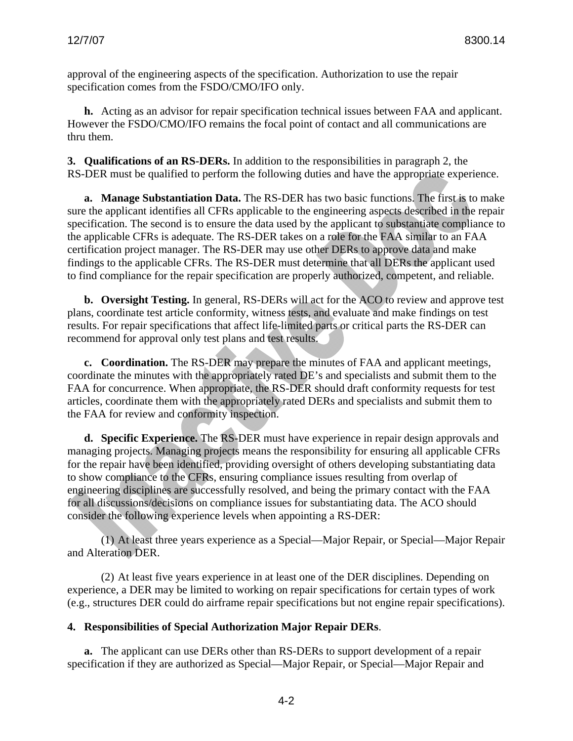approval of the engineering aspects of the specification. Authorization to use the repair specification comes from the FSDO/CMO/IFO only.

**h.** Acting as an advisor for repair specification technical issues between FAA and applicant. However the FSDO/CMO/IFO remains the focal point of contact and all communications are thru them.

**3. Qualifications of an RS-DERs.** In addition to the responsibilities in paragraph 2, the RS-DER must be qualified to perform the following duties and have the appropriate experience.

**a. Manage Substantiation Data.** The RS-DER has two basic functions. The first is to make sure the applicant identifies all CFRs applicable to the engineering aspects described in the repair specification. The second is to ensure the data used by the applicant to substantiate compliance to the applicable CFRs is adequate. The RS-DER takes on a role for the FAA similar to an FAA certification project manager. The RS-DER may use other DERs to approve data and make findings to the applicable CFRs. The RS-DER must determine that all DERs the applicant used to find compliance for the repair specification are properly authorized, competent, and reliable.

**b. Oversight Testing.** In general, RS-DERs will act for the ACO to review and approve test plans, coordinate test article conformity, witness tests, and evaluate and make findings on test results. For repair specifications that affect life-limited parts or critical parts the RS-DER can recommend for approval only test plans and test results.

**c. Coordination.** The RS-DER may prepare the minutes of FAA and applicant meetings, coordinate the minutes with the appropriately rated DE's and specialists and submit them to the FAA for concurrence. When appropriate, the RS-DER should draft conformity requests for test articles, coordinate them with the appropriately rated DERs and specialists and submit them to the FAA for review and conformity inspection.

**d. Specific Experience.** The RS-DER must have experience in repair design approvals and managing projects. Managing projects means the responsibility for ensuring all applicable CFRs for the repair have been identified, providing oversight of others developing substantiating data to show compliance to the CFRs, ensuring compliance issues resulting from overlap of engineering disciplines are successfully resolved, and being the primary contact with the FAA for all discussions/decisions on compliance issues for substantiating data. The ACO should consider the following experience levels when appointing a RS-DER:

(1) At least three years experience as a Special—Major Repair, or Special—Major Repair and Alteration DER.

(2) At least five years experience in at least one of the DER disciplines. Depending on experience, a DER may be limited to working on repair specifications for certain types of work (e.g., structures DER could do airframe repair specifications but not engine repair specifications).

### **4. Responsibilities of Special Authorization Major Repair DERs**.

**a.** The applicant can use DERs other than RS-DERs to support development of a repair specification if they are authorized as Special—Major Repair, or Special—Major Repair and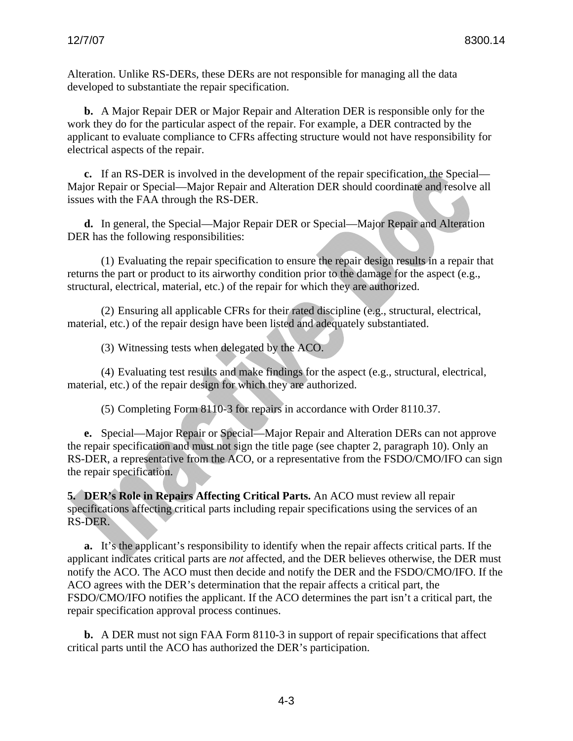Alteration. Unlike RS-DERs, these DERs are not responsible for managing all the data developed to substantiate the repair specification.

**b.** A Major Repair DER or Major Repair and Alteration DER is responsible only for the work they do for the particular aspect of the repair. For example, a DER contracted by the applicant to evaluate compliance to CFRs affecting structure would not have responsibility for electrical aspects of the repair.

**c.** If an RS-DER is involved in the development of the repair specification, the Special— Major Repair or Special—Major Repair and Alteration DER should coordinate and resolve all issues with the FAA through the RS-DER.

**d.** In general, the Special—Major Repair DER or Special—Major Repair and Alteration DER has the following responsibilities:

(1) Evaluating the repair specification to ensure the repair design results in a repair that returns the part or product to its airworthy condition prior to the damage for the aspect (e.g., structural, electrical, material, etc.) of the repair for which they are authorized.

(2) Ensuring all applicable CFRs for their rated discipline (e.g., structural, electrical, material, etc.) of the repair design have been listed and adequately substantiated.

(3) Witnessing tests when delegated by the ACO.

(4) Evaluating test results and make findings for the aspect (e.g., structural, electrical, material, etc.) of the repair design for which they are authorized.

(5) Completing Form 8110-3 for repairs in accordance with Order 8110.37.

**e.** Special—Major Repair or Special—Major Repair and Alteration DERs can not approve the repair specification and must not sign the title page (see chapter 2, paragraph 10). Only an RS-DER, a representative from the ACO, or a representative from the FSDO/CMO/IFO can sign the repair specification.

**5. DER's Role in Repairs Affecting Critical Parts.** An ACO must review all repair specifications affecting critical parts including repair specifications using the services of an RS-DER.

**a.** It's the applicant's responsibility to identify when the repair affects critical parts. If the applicant indicates critical parts are *not* affected, and the DER believes otherwise, the DER must notify the ACO. The ACO must then decide and notify the DER and the FSDO/CMO/IFO. If the ACO agrees with the DER's determination that the repair affects a critical part, the FSDO/CMO/IFO notifies the applicant. If the ACO determines the part isn't a critical part, the repair specification approval process continues.

**b.** A DER must not sign FAA Form 8110-3 in support of repair specifications that affect critical parts until the ACO has authorized the DER's participation.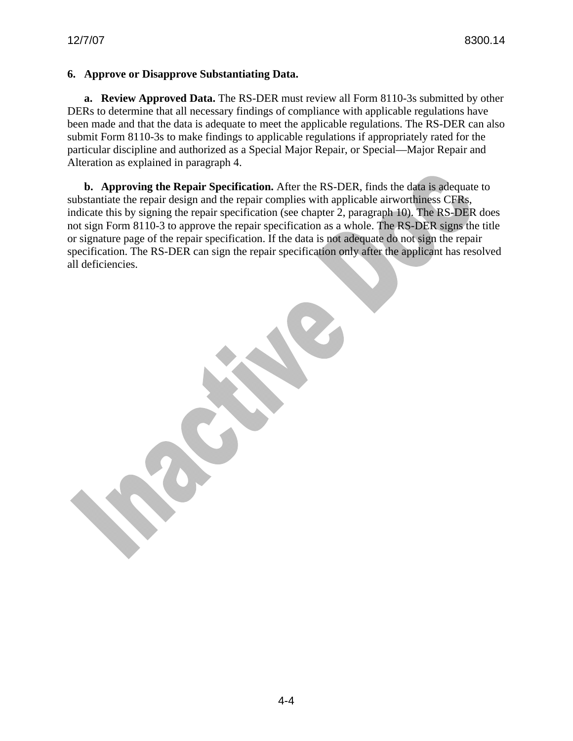#### **6. Approve or Disapprove Substantiating Data.**

**a. Review Approved Data.** The RS-DER must review all Form 8110-3s submitted by other DERs to determine that all necessary findings of compliance with applicable regulations have been made and that the data is adequate to meet the applicable regulations. The RS-DER can also submit Form 8110-3s to make findings to applicable regulations if appropriately rated for the particular discipline and authorized as a Special Major Repair, or Special—Major Repair and Alteration as explained in paragraph 4.

**b. Approving the Repair Specification.** After the RS-DER, finds the data is adequate to substantiate the repair design and the repair complies with applicable airworthiness CFRs, indicate this by signing the repair specification (see chapter 2, paragraph 10). The RS-DER does not sign Form 8110-3 to approve the repair specification as a whole. The RS-DER signs the title or signature page of the repair specification. If the data is not adequate do not sign the repair specification. The RS-DER can sign the repair specification only after the applicant has resolved all deficiencies.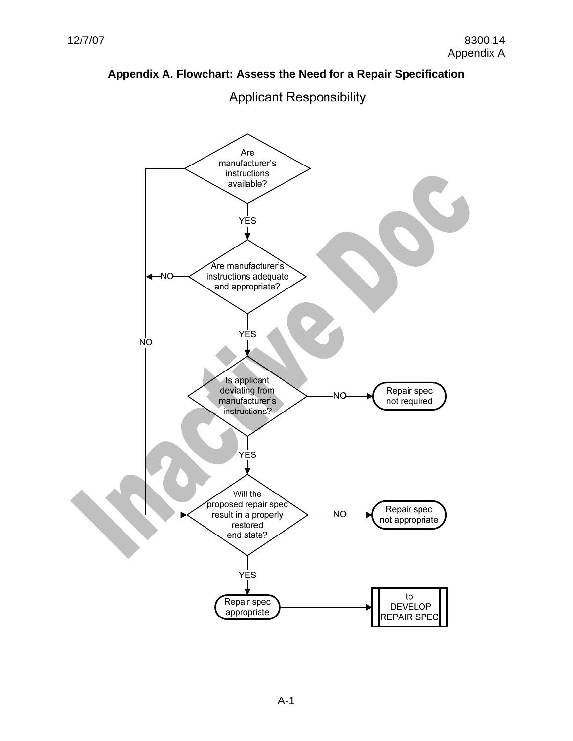# **Appendix A. Flowchart: Assess the Need for a Repair Specification**



**Applicant Responsibility**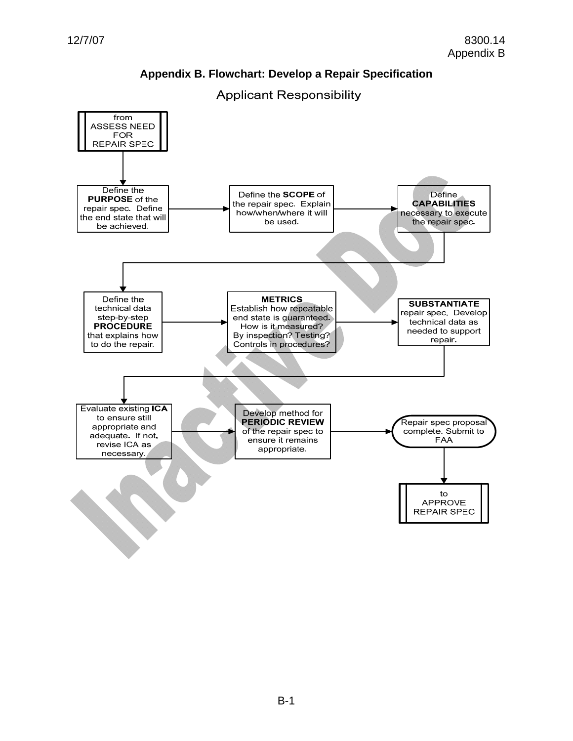# **Appendix B. Flowchart: Develop a Repair Specification**



**Applicant Responsibility**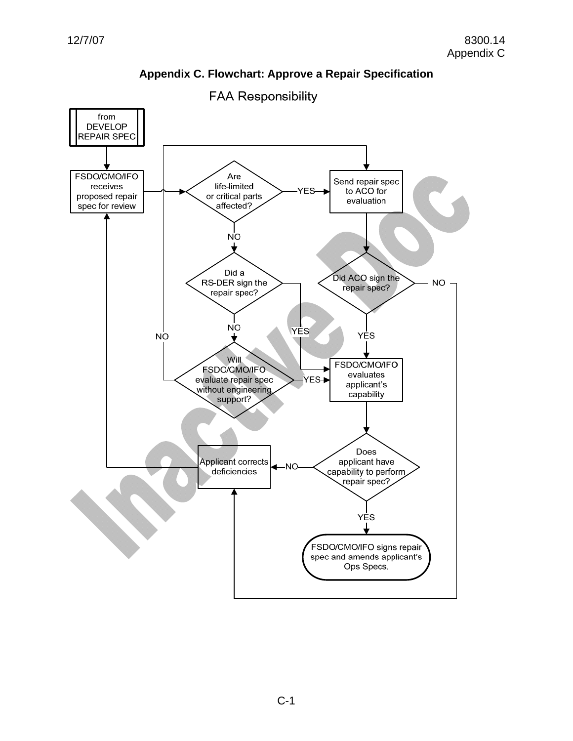

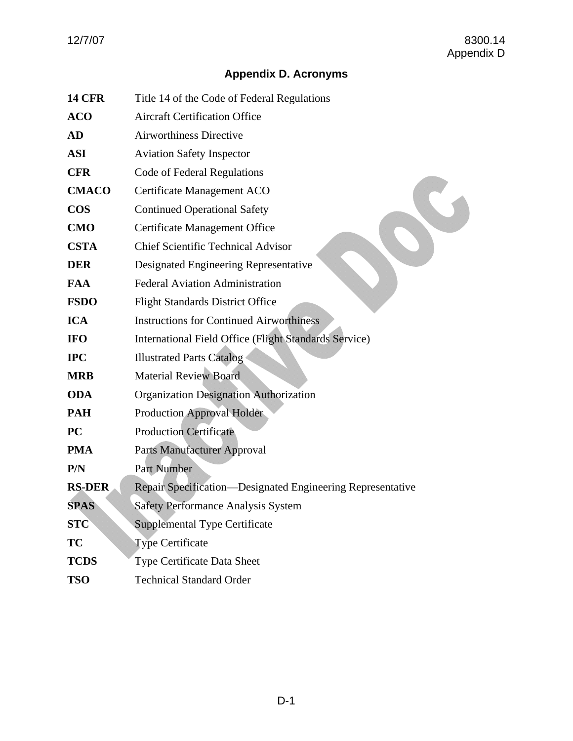# **Appendix D. Acronyms**

| <b>14 CFR</b> | Title 14 of the Code of Federal Regulations                  |  |  |
|---------------|--------------------------------------------------------------|--|--|
| <b>ACO</b>    | <b>Aircraft Certification Office</b>                         |  |  |
| AD            | <b>Airworthiness Directive</b>                               |  |  |
| ASI           | <b>Aviation Safety Inspector</b>                             |  |  |
| <b>CFR</b>    | Code of Federal Regulations                                  |  |  |
| <b>CMACO</b>  | Certificate Management ACO                                   |  |  |
| <b>COS</b>    | <b>Continued Operational Safety</b>                          |  |  |
| <b>CMO</b>    | <b>Certificate Management Office</b>                         |  |  |
| <b>CSTA</b>   | <b>Chief Scientific Technical Advisor</b>                    |  |  |
| DER           | Designated Engineering Representative                        |  |  |
| FAA           | <b>Federal Aviation Administration</b>                       |  |  |
| <b>FSDO</b>   | <b>Flight Standards District Office</b>                      |  |  |
| <b>ICA</b>    | <b>Instructions for Continued Airworthiness</b>              |  |  |
| <b>IFO</b>    | <b>International Field Office (Flight Standards Service)</b> |  |  |
| <b>IPC</b>    | <b>Illustrated Parts Catalog</b>                             |  |  |
| MRB           | <b>Material Review Board</b>                                 |  |  |
| <b>ODA</b>    | <b>Organization Designation Authorization</b>                |  |  |
| PAH           | <b>Production Approval Holder</b>                            |  |  |
| PC            | <b>Production Certificate</b>                                |  |  |
| PMA           | Parts Manufacturer Approval                                  |  |  |
| P/N           | <b>Part Number</b>                                           |  |  |
| <b>RS-DER</b> | Repair Specification—Designated Engineering Representative   |  |  |
| <b>SPAS</b>   | <b>Safety Performance Analysis System</b>                    |  |  |
| <b>STC</b>    | <b>Supplemental Type Certificate</b>                         |  |  |
| TC            | <b>Type Certificate</b>                                      |  |  |
| <b>TCDS</b>   | Type Certificate Data Sheet                                  |  |  |
| <b>TSO</b>    | <b>Technical Standard Order</b>                              |  |  |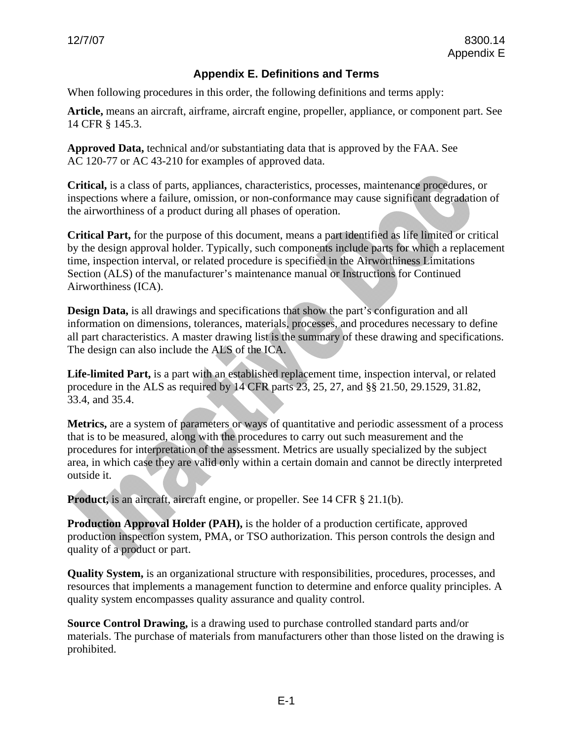# **Appendix E. Definitions and Terms**

When following procedures in this order, the following definitions and terms apply:

**Article,** means an aircraft, airframe, aircraft engine, propeller, appliance, or component part. See 14 CFR § 145.3.

**Approved Data,** technical and/or substantiating data that is approved by the FAA. See AC 120-77 or AC 43-210 for examples of approved data.

**Critical,** is a class of parts, appliances, characteristics, processes, maintenance procedures, or inspections where a failure, omission, or non-conformance may cause significant degradation of the airworthiness of a product during all phases of operation.

**Critical Part,** for the purpose of this document, means a part identified as life limited or critical by the design approval holder. Typically, such components include parts for which a replacement time, inspection interval, or related procedure is specified in the Airworthiness Limitations Section (ALS) of the manufacturer's maintenance manual or Instructions for Continued Airworthiness (ICA).

**Design Data,** is all drawings and specifications that show the part's configuration and all information on dimensions, tolerances, materials, processes, and procedures necessary to define all part characteristics. A master drawing list is the summary of these drawing and specifications. The design can also include the ALS of the ICA.

**Life-limited Part,** is a part with an established replacement time, inspection interval, or related procedure in the ALS as required by 14 CFR parts 23, 25, 27, and §§ 21.50, 29.1529, 31.82, 33.4, and 35.4.

**Metrics,** are a system of parameters or ways of quantitative and periodic assessment of a process that is to be measured, along with the procedures to carry out such measurement and the procedures for interpretation of the assessment. Metrics are usually specialized by the subject area, in which case they are valid only within a certain domain and cannot be directly interpreted outside it.

**Product,** is an aircraft, aircraft engine, or propeller. See 14 CFR § 21.1(b).

**Production Approval Holder (PAH),** is the holder of a production certificate, approved production inspection system, PMA, or TSO authorization. This person controls the design and quality of a product or part.

**Quality System,** is an organizational structure with responsibilities, procedures, processes, and resources that implements a management function to determine and enforce quality principles. A quality system encompasses quality assurance and quality control.

**Source Control Drawing,** is a drawing used to purchase controlled standard parts and/or materials. The purchase of materials from manufacturers other than those listed on the drawing is prohibited.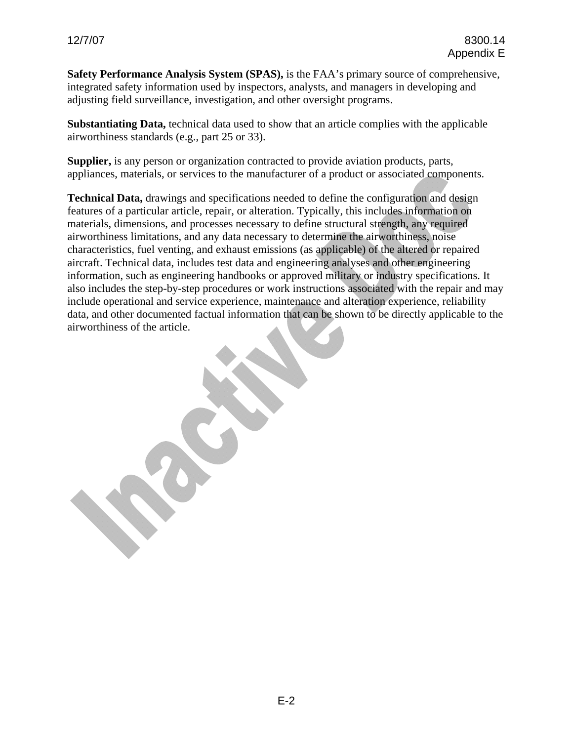**Safety Performance Analysis System (SPAS),** is the FAA's primary source of comprehensive, integrated safety information used by inspectors, analysts, and managers in developing and adjusting field surveillance, investigation, and other oversight programs.

**Substantiating Data,** technical data used to show that an article complies with the applicable airworthiness standards (e.g., part 25 or 33).

**Supplier,** is any person or organization contracted to provide aviation products, parts, appliances, materials, or services to the manufacturer of a product or associated components.

**Technical Data,** drawings and specifications needed to define the configuration and design features of a particular article, repair, or alteration. Typically, this includes information on materials, dimensions, and processes necessary to define structural strength, any required airworthiness limitations, and any data necessary to determine the airworthiness, noise characteristics, fuel venting, and exhaust emissions (as applicable) of the altered or repaired aircraft. Technical data, includes test data and engineering analyses and other engineering information, such as engineering handbooks or approved military or industry specifications. It also includes the step-by-step procedures or work instructions associated with the repair and may include operational and service experience, maintenance and alteration experience, reliability data, and other documented factual information that can be shown to be directly applicable to the airworthiness of the article.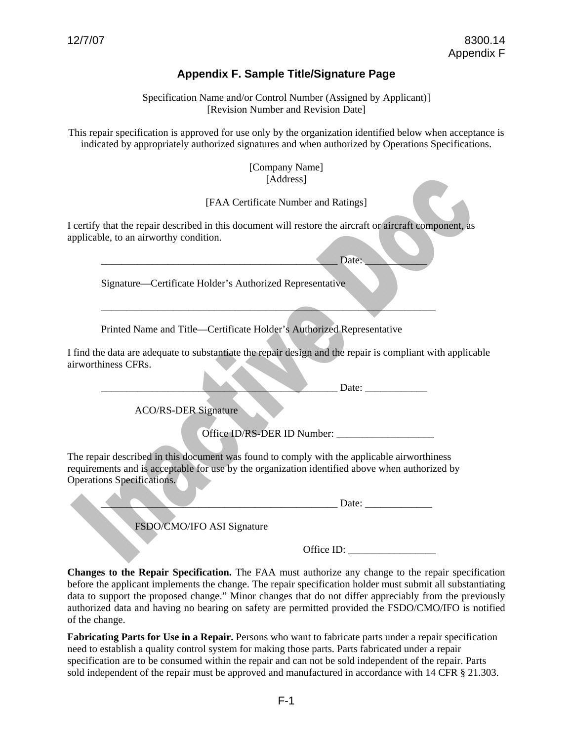## **Appendix F. Sample Title/Signature Page**

Specification Name and/or Control Number (Assigned by Applicant)] [Revision Number and Revision Date]

This repair specification is approved for use only by the organization identified below when acceptance is indicated by appropriately authorized signatures and when authorized by Operations Specifications.

> [Company Name] [Address]

[FAA Certificate Number and Ratings]

I certify that the repair described in this document will restore the aircraft or aircraft component, as applicable, to an airworthy condition.

\_\_\_\_\_\_\_\_\_\_\_\_\_\_\_\_\_\_\_\_\_\_\_\_\_\_\_\_\_\_\_\_\_\_\_\_\_\_\_\_\_\_\_\_\_\_ Date: \_\_\_\_\_\_\_\_\_\_\_\_

\_\_\_\_\_\_\_\_\_\_\_\_\_\_\_\_\_\_\_\_\_\_\_\_\_\_\_\_\_\_\_\_\_\_\_\_\_\_\_\_\_\_\_\_\_\_\_\_\_\_\_\_\_\_\_\_\_\_\_\_\_\_\_\_\_

Signature—Certificate Holder's Authorized Representative

Printed Name and Title—Certificate Holder's Authorized Representative

I find the data are adequate to substantiate the repair design and the repair is compliant with applicable airworthiness CFRs.

 $\Box$  Date:

ACO/RS-DER Signature

Office ID/RS-DER ID Number: \_\_\_\_\_\_\_\_\_\_\_\_\_\_\_\_\_\_\_

The repair described in this document was found to comply with the applicable airworthiness requirements and is acceptable for use by the organization identified above when authorized by Operations Specifications.

 $Date:$ 

FSDO/CMO/IFO ASI Signature

Office ID:

**Changes to the Repair Specification.** The FAA must authorize any change to the repair specification before the applicant implements the change. The repair specification holder must submit all substantiating data to support the proposed change." Minor changes that do not differ appreciably from the previously authorized data and having no bearing on safety are permitted provided the FSDO/CMO/IFO is notified of the change.

**Fabricating Parts for Use in a Repair.** Persons who want to fabricate parts under a repair specification need to establish a quality control system for making those parts. Parts fabricated under a repair specification are to be consumed within the repair and can not be sold independent of the repair. Parts sold independent of the repair must be approved and manufactured in accordance with 14 CFR § 21.303.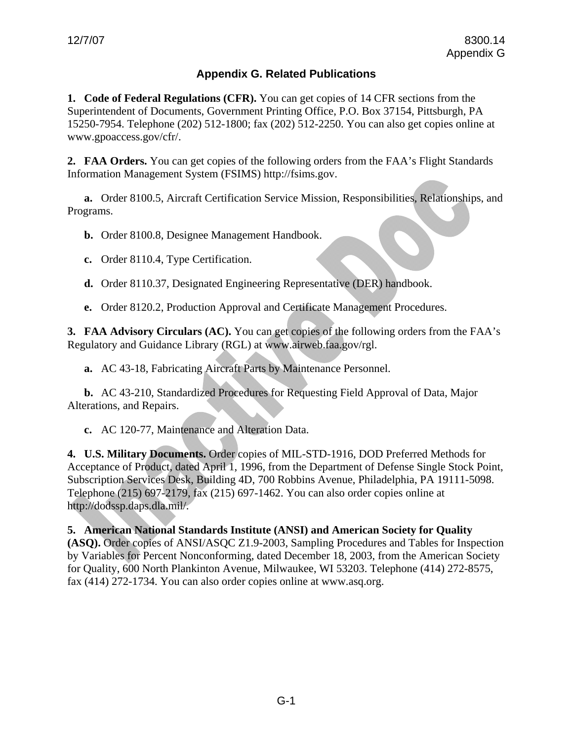# **Appendix G. Related Publications**

**1. Code of Federal Regulations (CFR).** You can get copies of 14 CFR sections from the Superintendent of Documents, Government Printing Office, P.O. Box 37154, Pittsburgh, PA 15250-7954. Telephone (202) 512-1800; fax (202) 512-2250. You can also get copies online at [www.gpoaccess.gov/cfr/.](http://www.gpoaccess.gov/cfr/)

**2. FAA Orders.** You can get copies of the following orders from the FAA's Flight Standards Information Management System (FSIMS) http://fsims.gov.

**a.** Order 8100.5, Aircraft Certification Service Mission, Responsibilities, Relationships, and Programs.

**b.** Order 8100.8, Designee Management Handbook.

**c.** Order 8110.4, Type Certification.

**d.** Order 8110.37, Designated Engineering Representative (DER) handbook.

**e.** Order 8120.2, Production Approval and Certificate Management Procedures.

**3. FAA Advisory Circulars (AC).** You can get copies of the following orders from the FAA's Regulatory and Guidance Library (RGL) at [www.airweb.faa.gov/rgl](http://www.airweb.faa.gov/rgl).

**a.** AC 43-18, Fabricating Aircraft Parts by Maintenance Personnel.

**b.** AC 43-210, Standardized Procedures for Requesting Field Approval of Data, Major Alterations, and Repairs.

**c.** AC 120-77, Maintenance and Alteration Data.

**4. U.S. Military Documents.** Order copies of MIL-STD-1916, DOD Preferred Methods for Acceptance of Product, dated April 1, 1996, from the Department of Defense Single Stock Point, Subscription Services Desk, Building 4D, 700 Robbins Avenue, Philadelphia, PA 19111-5098. Telephone (215) 697-2179, fax (215) 697-1462. You can also order copies online at [http://dodssp.daps.dla.mil/.](http://dodssp.daps.dla.mil/)

#### **5. American National Standards Institute (ANSI) and American Society for Quality**

**(ASQ).** Order copies of ANSI/ASQC Z1.9-2003, Sampling Procedures and Tables for Inspection by Variables for Percent Nonconforming, dated December 18, 2003, from the American Society for Quality, 600 North Plankinton Avenue, Milwaukee, WI 53203. Telephone (414) 272-8575, fax (414) 272-1734. You can also order copies online at [www.asq.org.](http://www.asq.org/)